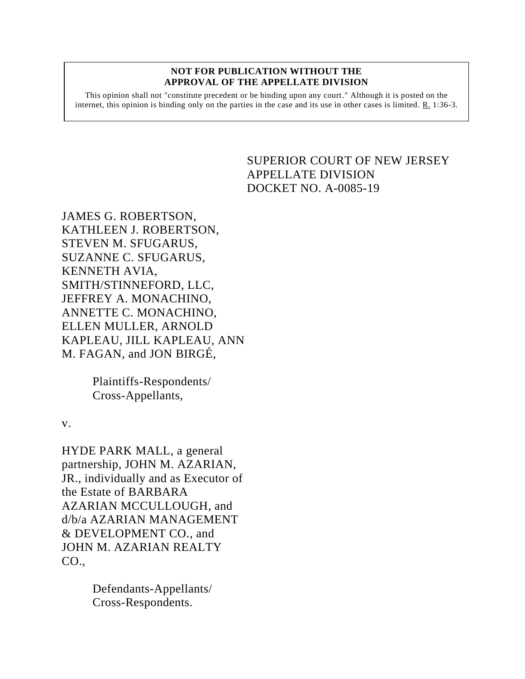#### **NOT FOR PUBLICATION WITHOUT THE APPROVAL OF THE APPELLATE DIVISION**

This opinion shall not "constitute precedent or be binding upon any court." Although it is posted on the internet, this opinion is binding only on the parties in the case and its use in other cases is limited. R. 1:36-3.

# <span id="page-0-0"></span>SUPERIOR COURT OF NEW JERSEY APPELLATE DIVISION DOCKET NO. A-0085-19

JAMES G. ROBERTSON, KATHLEEN J. ROBERTSON, STEVEN M. SFUGARUS, SUZANNE C. SFUGARUS, KENNETH AVIA, SMITH/STINNEFORD, LLC, JEFFREY A. MONACHINO, ANNETTE C. MONACHINO, ELLEN MULLER, ARNOLD KAPLEAU, JILL KAPLEAU, ANN M. FAGAN, and JON BIRGÉ,

> Plaintiffs-Respondents/ Cross-Appellants,

v.

HYDE PARK MALL, a general partnership, JOHN M. AZARIAN, JR., individually and as Executor of the Estate of BARBARA AZARIAN MCCULLOUGH, and d/b/a AZARIAN MANAGEMENT & DEVELOPMENT CO., and JOHN M. AZARIAN REALTY CO.,

> Defendants-Appellants/ Cross-Respondents.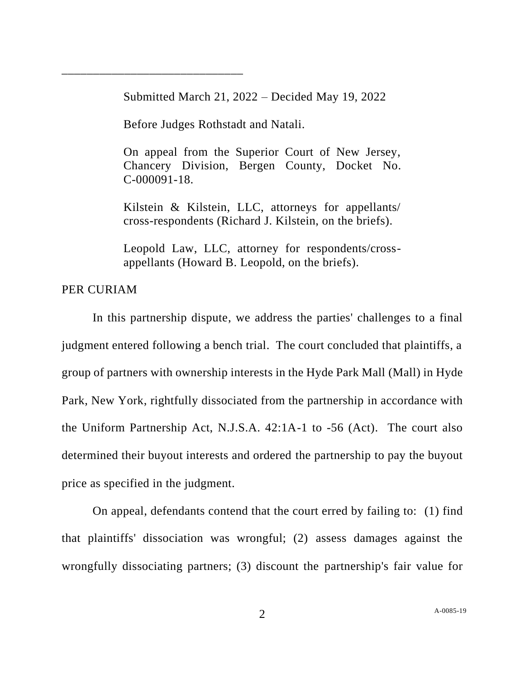Submitted March 21, 2022 – Decided May 19, 2022

Before Judges Rothstadt and Natali.

\_\_\_\_\_\_\_\_\_\_\_\_\_\_\_\_\_\_\_\_\_\_\_\_\_\_\_\_\_

On appeal from the Superior Court of New Jersey, Chancery Division, Bergen County, Docket No. C-000091-18.

Kilstein & Kilstein, LLC, attorneys for appellants/ cross-respondents (Richard J. Kilstein, on the briefs).

Leopold Law, LLC, attorney for respondents/crossappellants (Howard B. Leopold, on the briefs).

# PER CURIAM

In this partnership dispute, we address the parties' challenges to a final judgment entered following a bench trial. The court concluded that plaintiffs, a group of partners with ownership interests in the Hyde Park Mall (Mall) in Hyde Park, New York, rightfully dissociated from the partnership in accordance with the Uniform Partnership Act, N.J.S.A. 42:1A-1 to -56 (Act). The court also determined their buyout interests and ordered the partnership to pay the buyout price as specified in the judgment.

On appeal, defendants contend that the court erred by failing to: (1) find that plaintiffs' dissociation was wrongful; (2) assess damages against the wrongfully dissociating partners; (3) discount the partnership's fair value for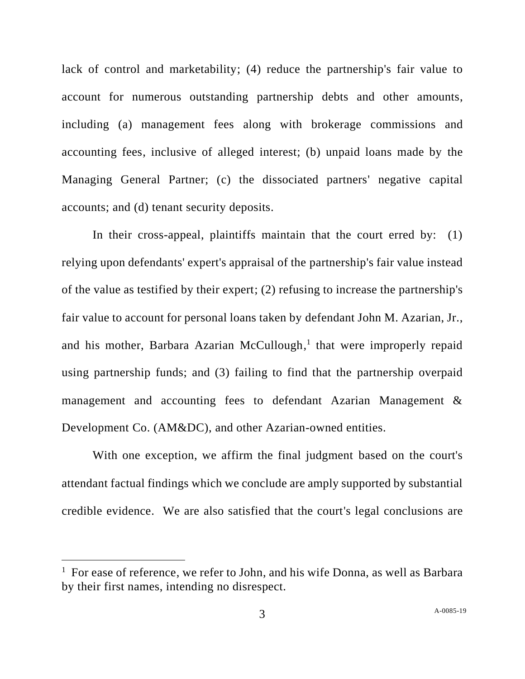lack of control and marketability; (4) reduce the partnership's fair value to account for numerous outstanding partnership debts and other amounts, including (a) management fees along with brokerage commissions and accounting fees, inclusive of alleged interest; (b) unpaid loans made by the Managing General Partner; (c) the dissociated partners' negative capital accounts; and (d) tenant security deposits.

In their cross-appeal, plaintiffs maintain that the court erred by: (1) relying upon defendants' expert's appraisal of the partnership's fair value instead of the value as testified by their expert; (2) refusing to increase the partnership's fair value to account for personal loans taken by defendant John M. Azarian, Jr., and his mother, Barbara Azarian McCullough,<sup>1</sup> that were improperly repaid using partnership funds; and (3) failing to find that the partnership overpaid management and accounting fees to defendant Azarian Management & Development Co. (AM&DC), and other Azarian-owned entities.

With one exception, we affirm the final judgment based on the court's attendant factual findings which we conclude are amply supported by substantial credible evidence. We are also satisfied that the court's legal conclusions are

<sup>&</sup>lt;sup>1</sup> For ease of reference, we refer to John, and his wife Donna, as well as Barbara by their first names, intending no disrespect.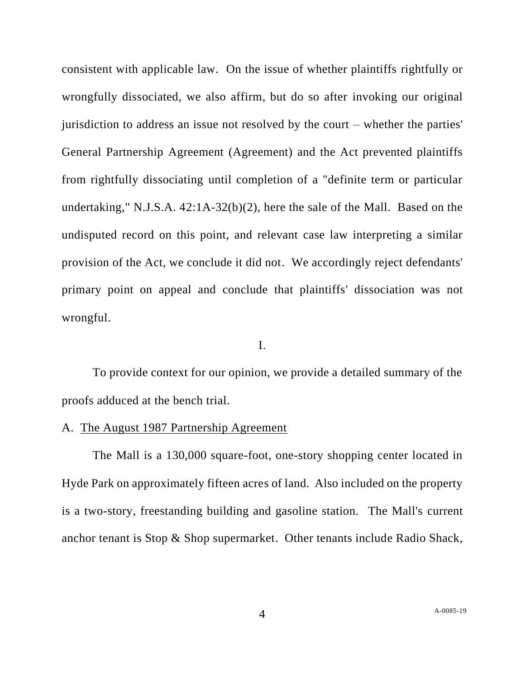consistent with applicable law. On the issue of whether plaintiffs rightfully or wrongfully dissociated, we also affirm, but do so after invoking our original jurisdiction to address an issue not resolved by the court – whether the parties' General Partnership Agreement (Agreement) and the Act prevented plaintiffs from rightfully dissociating until completion of a "definite term or particular undertaking," N.J.S.A. 42:1A-32(b)(2), here the sale of the Mall. Based on the undisputed record on this point, and relevant case law interpreting a similar provision of the Act, we conclude it did not. We accordingly reject defendants' primary point on appeal and conclude that plaintiffs' dissociation was not wrongful.

#### I.

To provide context for our opinion, we provide a detailed summary of the proofs adduced at the bench trial.

#### A. The August 1987 Partnership Agreement

The Mall is a 130,000 square-foot, one-story shopping center located in Hyde Park on approximately fifteen acres of land. Also included on the property is a two-story, freestanding building and gasoline station. The Mall's current anchor tenant is Stop & Shop supermarket. Other tenants include Radio Shack,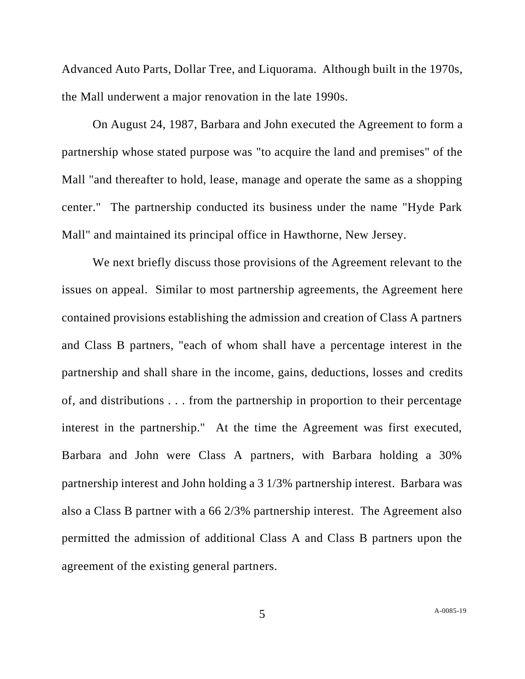Advanced Auto Parts, Dollar Tree, and Liquorama. Although built in the 1970s, the Mall underwent a major renovation in the late 1990s.

On August 24, 1987, Barbara and John executed the Agreement to form a partnership whose stated purpose was "to acquire the land and premises" of the Mall "and thereafter to hold, lease, manage and operate the same as a shopping center." The partnership conducted its business under the name "Hyde Park Mall" and maintained its principal office in Hawthorne, New Jersey.

We next briefly discuss those provisions of the Agreement relevant to the issues on appeal. Similar to most partnership agreements, the Agreement here contained provisions establishing the admission and creation of Class A partners and Class B partners, "each of whom shall have a percentage interest in the partnership and shall share in the income, gains, deductions, losses and credits of, and distributions . . . from the partnership in proportion to their percentage interest in the partnership." At the time the Agreement was first executed, Barbara and John were Class A partners, with Barbara holding a 30% partnership interest and John holding a 3 1/3% partnership interest. Barbara was also a Class B partner with a 66 2/3% partnership interest. The Agreement also permitted the admission of additional Class A and Class B partners upon the agreement of the existing general partners.

5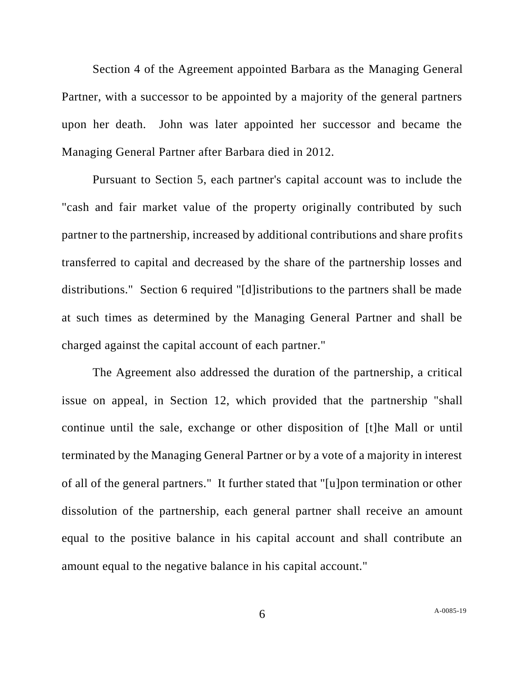Section 4 of the Agreement appointed Barbara as the Managing General Partner, with a successor to be appointed by a majority of the general partners upon her death. John was later appointed her successor and became the Managing General Partner after Barbara died in 2012.

Pursuant to Section 5, each partner's capital account was to include the "cash and fair market value of the property originally contributed by such partner to the partnership, increased by additional contributions and share profits transferred to capital and decreased by the share of the partnership losses and distributions." Section 6 required "[d]istributions to the partners shall be made at such times as determined by the Managing General Partner and shall be charged against the capital account of each partner."

The Agreement also addressed the duration of the partnership, a critical issue on appeal, in Section 12, which provided that the partnership "shall continue until the sale, exchange or other disposition of [t]he Mall or until terminated by the Managing General Partner or by a vote of a majority in interest of all of the general partners." It further stated that "[u]pon termination or other dissolution of the partnership, each general partner shall receive an amount equal to the positive balance in his capital account and shall contribute an amount equal to the negative balance in his capital account."

6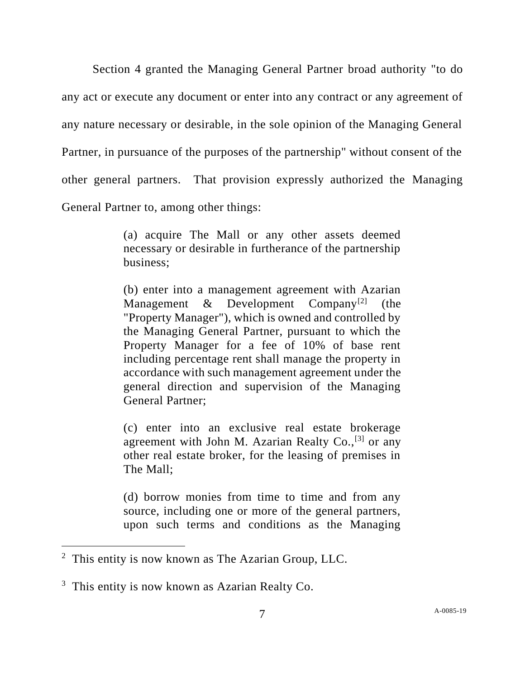Section 4 granted the Managing General Partner broad authority "to do any act or execute any document or enter into any contract or any agreement of any nature necessary or desirable, in the sole opinion of the Managing General Partner, in pursuance of the purposes of the partnership" without consent of the other general partners. That provision expressly authorized the Managing General Partner to, among other things:

> (a) acquire The Mall or any other assets deemed necessary or desirable in furtherance of the partnership business;

> (b) enter into a management agreement with Azarian Management  $\&$  Development Company<sup>[2]</sup> (the "Property Manager"), which is owned and controlled by the Managing General Partner, pursuant to which the Property Manager for a fee of 10% of base rent including percentage rent shall manage the property in accordance with such management agreement under the general direction and supervision of the Managing General Partner;

> (c) enter into an exclusive real estate brokerage agreement with John M. Azarian Realty Co.,<sup>[3]</sup> or any other real estate broker, for the leasing of premises in The Mall;

> (d) borrow monies from time to time and from any source, including one or more of the general partners, upon such terms and conditions as the Managing

 $2$  This entity is now known as The Azarian Group, LLC.

<sup>&</sup>lt;sup>3</sup> This entity is now known as Azarian Realty Co.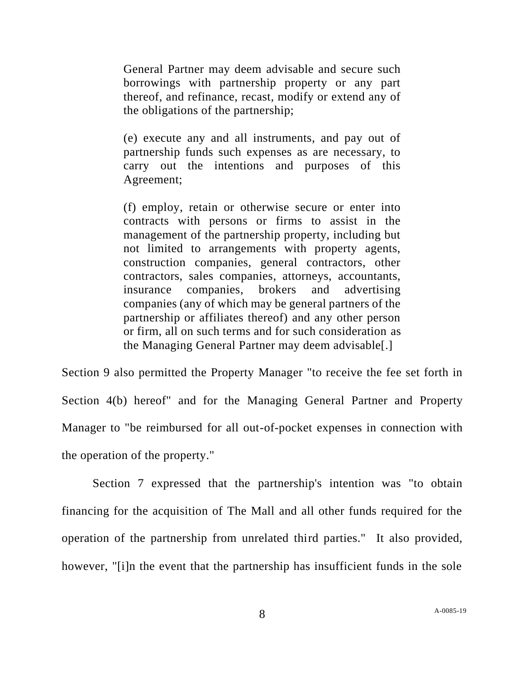General Partner may deem advisable and secure such borrowings with partnership property or any part thereof, and refinance, recast, modify or extend any of the obligations of the partnership;

(e) execute any and all instruments, and pay out of partnership funds such expenses as are necessary, to carry out the intentions and purposes of this Agreement;

(f) employ, retain or otherwise secure or enter into contracts with persons or firms to assist in the management of the partnership property, including but not limited to arrangements with property agents, construction companies, general contractors, other contractors, sales companies, attorneys, accountants, insurance companies, brokers and advertising companies (any of which may be general partners of the partnership or affiliates thereof) and any other person or firm, all on such terms and for such consideration as the Managing General Partner may deem advisable[.]

Section 9 also permitted the Property Manager "to receive the fee set forth in Section 4(b) hereof" and for the Managing General Partner and Property Manager to "be reimbursed for all out-of-pocket expenses in connection with the operation of the property."

Section 7 expressed that the partnership's intention was "to obtain financing for the acquisition of The Mall and all other funds required for the operation of the partnership from unrelated third parties." It also provided, however, "[i]n the event that the partnership has insufficient funds in the sole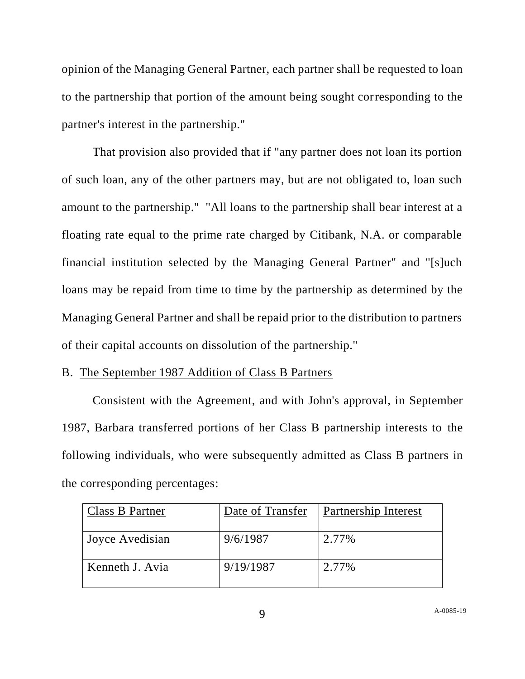opinion of the Managing General Partner, each partner shall be requested to loan to the partnership that portion of the amount being sought corresponding to the partner's interest in the partnership."

That provision also provided that if "any partner does not loan its portion of such loan, any of the other partners may, but are not obligated to, loan such amount to the partnership." "All loans to the partnership shall bear interest at a floating rate equal to the prime rate charged by Citibank, N.A. or comparable financial institution selected by the Managing General Partner" and "[s]uch loans may be repaid from time to time by the partnership as determined by the Managing General Partner and shall be repaid prior to the distribution to partners of their capital accounts on dissolution of the partnership."

# B. The September 1987 Addition of Class B Partners

Consistent with the Agreement, and with John's approval, in September 1987, Barbara transferred portions of her Class B partnership interests to the following individuals, who were subsequently admitted as Class B partners in the corresponding percentages:

| Class B Partner | Date of Transfer | Partnership Interest |
|-----------------|------------------|----------------------|
| Joyce Avedisian | 9/6/1987         | 2.77%                |
| Kenneth J. Avia | 9/19/1987        | 2.77%                |

A[-0085-19](#page-0-0)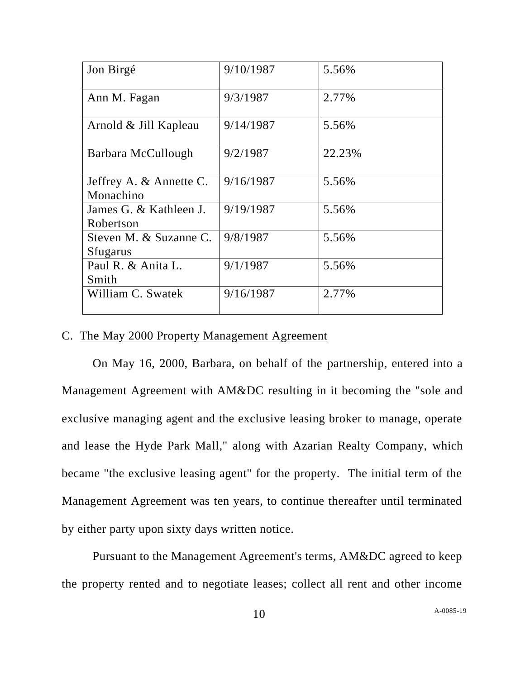| Jon Birgé                            | 9/10/1987 | 5.56%  |
|--------------------------------------|-----------|--------|
| Ann M. Fagan                         | 9/3/1987  | 2.77%  |
| Arnold & Jill Kapleau                | 9/14/1987 | 5.56%  |
| Barbara McCullough                   | 9/2/1987  | 22.23% |
| Jeffrey A. & Annette C.<br>Monachino | 9/16/1987 | 5.56%  |
| James G. & Kathleen J.<br>Robertson  | 9/19/1987 | 5.56%  |
| Steven M. & Suzanne C.<br>Sfugarus   | 9/8/1987  | 5.56%  |
| Paul R. & Anita L.<br>Smith          | 9/1/1987  | 5.56%  |
| William C. Swatek                    | 9/16/1987 | 2.77%  |

# C. The May 2000 Property Management Agreement

On May 16, 2000, Barbara, on behalf of the partnership, entered into a Management Agreement with AM&DC resulting in it becoming the "sole and exclusive managing agent and the exclusive leasing broker to manage, operate and lease the Hyde Park Mall," along with Azarian Realty Company, which became "the exclusive leasing agent" for the property. The initial term of the Management Agreement was ten years, to continue thereafter until terminated by either party upon sixty days written notice.

Pursuant to the Management Agreement's terms, AM&DC agreed to keep the property rented and to negotiate leases; collect all rent and other income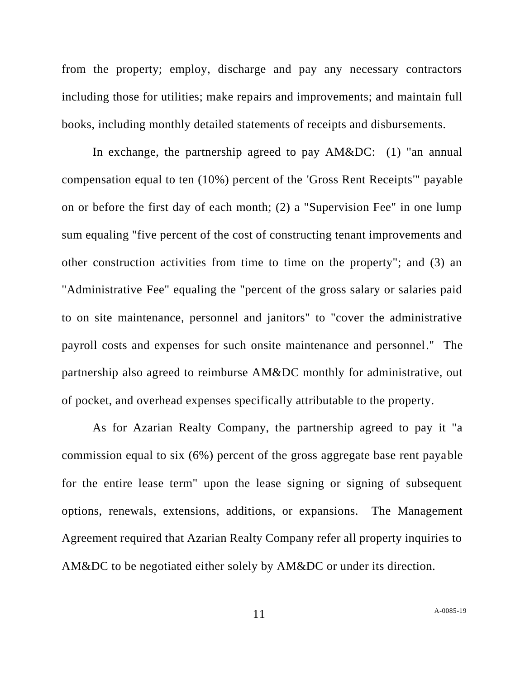from the property; employ, discharge and pay any necessary contractors including those for utilities; make repairs and improvements; and maintain full books, including monthly detailed statements of receipts and disbursements.

In exchange, the partnership agreed to pay AM&DC: (1) "an annual compensation equal to ten (10%) percent of the 'Gross Rent Receipts'" payable on or before the first day of each month; (2) a "Supervision Fee" in one lump sum equaling "five percent of the cost of constructing tenant improvements and other construction activities from time to time on the property"; and (3) an "Administrative Fee" equaling the "percent of the gross salary or salaries paid to on site maintenance, personnel and janitors" to "cover the administrative payroll costs and expenses for such onsite maintenance and personnel." The partnership also agreed to reimburse AM&DC monthly for administrative, out of pocket, and overhead expenses specifically attributable to the property.

As for Azarian Realty Company, the partnership agreed to pay it "a commission equal to six (6%) percent of the gross aggregate base rent payable for the entire lease term" upon the lease signing or signing of subsequent options, renewals, extensions, additions, or expansions. The Management Agreement required that Azarian Realty Company refer all property inquiries to AM&DC to be negotiated either solely by AM&DC or under its direction.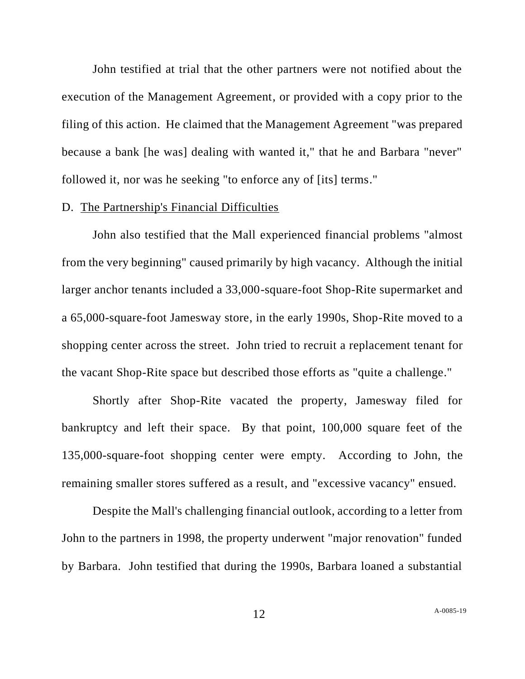John testified at trial that the other partners were not notified about the execution of the Management Agreement, or provided with a copy prior to the filing of this action. He claimed that the Management Agreement "was prepared because a bank [he was] dealing with wanted it," that he and Barbara "never" followed it, nor was he seeking "to enforce any of [its] terms."

#### D. The Partnership's Financial Difficulties

John also testified that the Mall experienced financial problems "almost from the very beginning" caused primarily by high vacancy. Although the initial larger anchor tenants included a 33,000-square-foot Shop-Rite supermarket and a 65,000-square-foot Jamesway store, in the early 1990s, Shop-Rite moved to a shopping center across the street. John tried to recruit a replacement tenant for the vacant Shop-Rite space but described those efforts as "quite a challenge."

Shortly after Shop-Rite vacated the property, Jamesway filed for bankruptcy and left their space. By that point, 100,000 square feet of the 135,000-square-foot shopping center were empty. According to John, the remaining smaller stores suffered as a result, and "excessive vacancy" ensued.

Despite the Mall's challenging financial outlook, according to a letter from John to the partners in 1998, the property underwent "major renovation" funded by Barbara. John testified that during the 1990s, Barbara loaned a substantial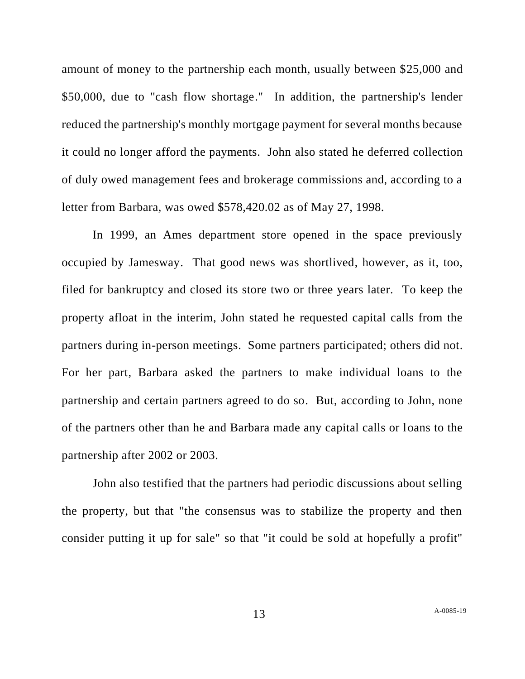amount of money to the partnership each month, usually between \$25,000 and \$50,000, due to "cash flow shortage." In addition, the partnership's lender reduced the partnership's monthly mortgage payment for several months because it could no longer afford the payments. John also stated he deferred collection of duly owed management fees and brokerage commissions and, according to a letter from Barbara, was owed \$578,420.02 as of May 27, 1998.

In 1999, an Ames department store opened in the space previously occupied by Jamesway. That good news was shortlived, however, as it, too, filed for bankruptcy and closed its store two or three years later. To keep the property afloat in the interim, John stated he requested capital calls from the partners during in-person meetings. Some partners participated; others did not. For her part, Barbara asked the partners to make individual loans to the partnership and certain partners agreed to do so. But, according to John, none of the partners other than he and Barbara made any capital calls or loans to the partnership after 2002 or 2003.

John also testified that the partners had periodic discussions about selling the property, but that "the consensus was to stabilize the property and then consider putting it up for sale" so that "it could be sold at hopefully a profit"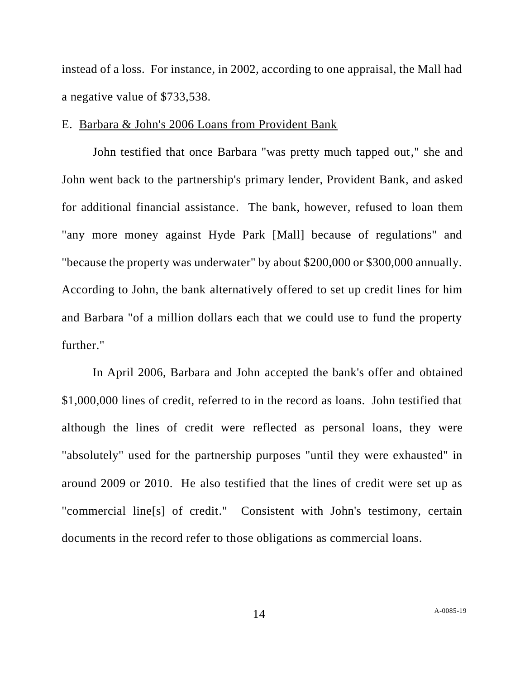instead of a loss. For instance, in 2002, according to one appraisal, the Mall had a negative value of \$733,538.

## E. Barbara & John's 2006 Loans from Provident Bank

John testified that once Barbara "was pretty much tapped out," she and John went back to the partnership's primary lender, Provident Bank, and asked for additional financial assistance. The bank, however, refused to loan them "any more money against Hyde Park [Mall] because of regulations" and "because the property was underwater" by about \$200,000 or \$300,000 annually. According to John, the bank alternatively offered to set up credit lines for him and Barbara "of a million dollars each that we could use to fund the property further."

In April 2006, Barbara and John accepted the bank's offer and obtained \$1,000,000 lines of credit, referred to in the record as loans. John testified that although the lines of credit were reflected as personal loans, they were "absolutely" used for the partnership purposes "until they were exhausted" in around 2009 or 2010. He also testified that the lines of credit were set up as "commercial line[s] of credit." Consistent with John's testimony, certain documents in the record refer to those obligations as commercial loans.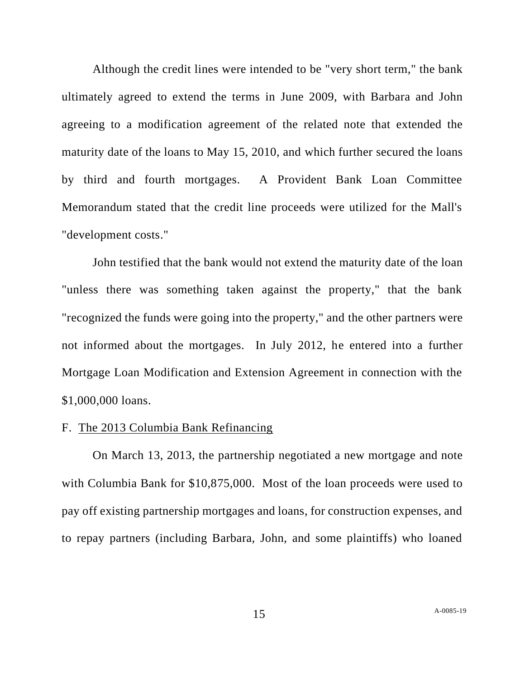Although the credit lines were intended to be "very short term," the bank ultimately agreed to extend the terms in June 2009, with Barbara and John agreeing to a modification agreement of the related note that extended the maturity date of the loans to May 15, 2010, and which further secured the loans by third and fourth mortgages. A Provident Bank Loan Committee Memorandum stated that the credit line proceeds were utilized for the Mall's "development costs."

John testified that the bank would not extend the maturity date of the loan "unless there was something taken against the property," that the bank "recognized the funds were going into the property," and the other partners were not informed about the mortgages. In July 2012, he entered into a further Mortgage Loan Modification and Extension Agreement in connection with the \$1,000,000 loans.

#### F. The 2013 Columbia Bank Refinancing

On March 13, 2013, the partnership negotiated a new mortgage and note with Columbia Bank for \$10,875,000. Most of the loan proceeds were used to pay off existing partnership mortgages and loans, for construction expenses, and to repay partners (including Barbara, John, and some plaintiffs) who loaned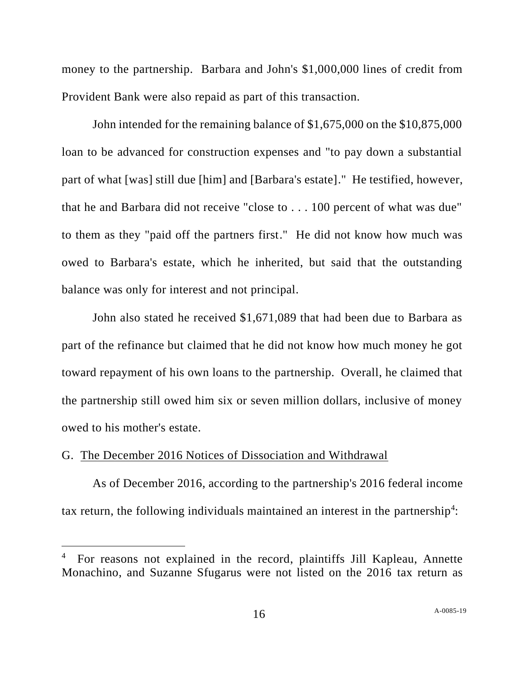money to the partnership. Barbara and John's \$1,000,000 lines of credit from Provident Bank were also repaid as part of this transaction.

John intended for the remaining balance of \$1,675,000 on the \$10,875,000 loan to be advanced for construction expenses and "to pay down a substantial part of what [was] still due [him] and [Barbara's estate]." He testified, however, that he and Barbara did not receive "close to . . . 100 percent of what was due" to them as they "paid off the partners first." He did not know how much was owed to Barbara's estate, which he inherited, but said that the outstanding balance was only for interest and not principal.

John also stated he received \$1,671,089 that had been due to Barbara as part of the refinance but claimed that he did not know how much money he got toward repayment of his own loans to the partnership. Overall, he claimed that the partnership still owed him six or seven million dollars, inclusive of money owed to his mother's estate.

# G. The December 2016 Notices of Dissociation and Withdrawal

As of December 2016, according to the partnership's 2016 federal income tax return, the following individuals maintained an interest in the partnership<sup>4</sup>:

<sup>&</sup>lt;sup>4</sup> For reasons not explained in the record, plaintiffs Jill Kapleau, Annette Monachino, and Suzanne Sfugarus were not listed on the 2016 tax return as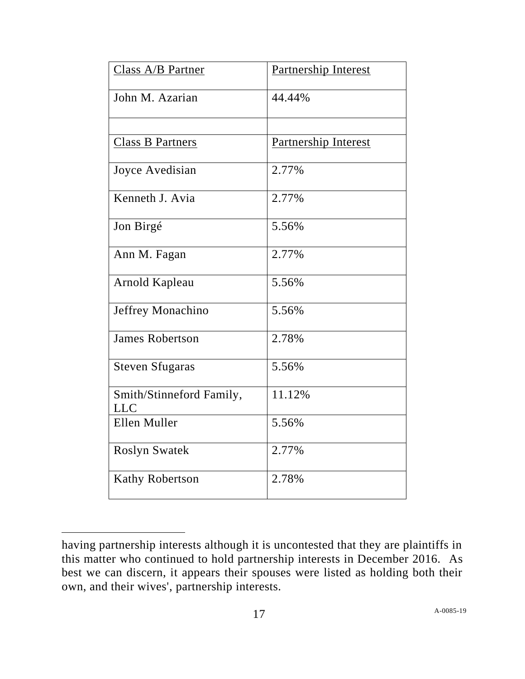| Class A/B Partner                      | Partnership Interest |
|----------------------------------------|----------------------|
| John M. Azarian                        | 44.44%               |
|                                        |                      |
| Class B Partners                       | Partnership Interest |
| Joyce Avedisian                        | 2.77%                |
| Kenneth J. Avia                        | 2.77%                |
| Jon Birgé                              | 5.56%                |
| Ann M. Fagan                           | 2.77%                |
| Arnold Kapleau                         | 5.56%                |
| Jeffrey Monachino                      | 5.56%                |
| <b>James Robertson</b>                 | 2.78%                |
| <b>Steven Sfugaras</b>                 | 5.56%                |
| Smith/Stinneford Family,<br><b>LLC</b> | 11.12%               |
| Ellen Muller                           | 5.56%                |
| <b>Roslyn Swatek</b>                   | 2.77%                |
| <b>Kathy Robertson</b>                 | 2.78%                |

having partnership interests although it is uncontested that they are plaintiffs in this matter who continued to hold partnership interests in December 2016. As best we can discern, it appears their spouses were listed as holding both their own, and their wives', partnership interests.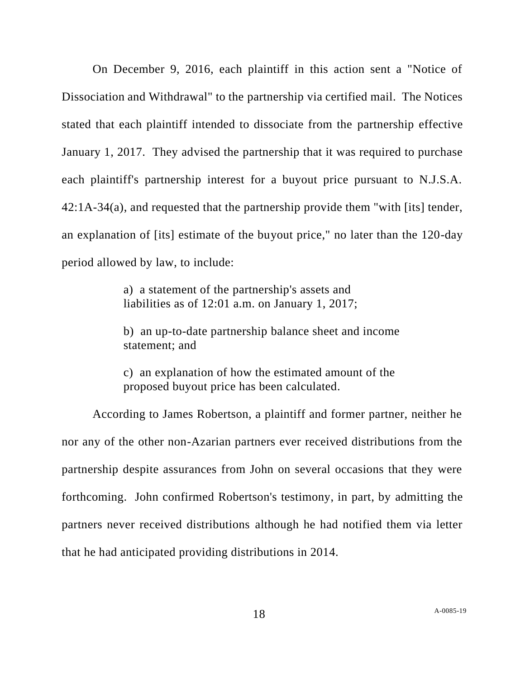On December 9, 2016, each plaintiff in this action sent a "Notice of Dissociation and Withdrawal" to the partnership via certified mail. The Notices stated that each plaintiff intended to dissociate from the partnership effective January 1, 2017. They advised the partnership that it was required to purchase each plaintiff's partnership interest for a buyout price pursuant to N.J.S.A. 42:1A-34(a), and requested that the partnership provide them "with [its] tender, an explanation of [its] estimate of the buyout price," no later than the 120-day period allowed by law, to include:

> a) a statement of the partnership's assets and liabilities as of 12:01 a.m. on January 1, 2017;

b) an up-to-date partnership balance sheet and income statement; and

c) an explanation of how the estimated amount of the proposed buyout price has been calculated.

According to James Robertson, a plaintiff and former partner, neither he nor any of the other non-Azarian partners ever received distributions from the partnership despite assurances from John on several occasions that they were forthcoming. John confirmed Robertson's testimony, in part, by admitting the partners never received distributions although he had notified them via letter that he had anticipated providing distributions in 2014.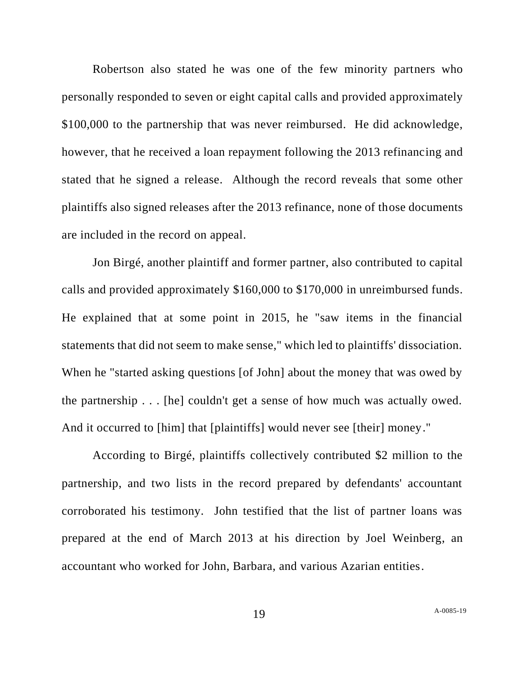Robertson also stated he was one of the few minority partners who personally responded to seven or eight capital calls and provided approximately \$100,000 to the partnership that was never reimbursed. He did acknowledge, however, that he received a loan repayment following the 2013 refinancing and stated that he signed a release. Although the record reveals that some other plaintiffs also signed releases after the 2013 refinance, none of those documents are included in the record on appeal.

Jon Birgé, another plaintiff and former partner, also contributed to capital calls and provided approximately \$160,000 to \$170,000 in unreimbursed funds. He explained that at some point in 2015, he "saw items in the financial statements that did not seem to make sense," which led to plaintiffs' dissociation. When he "started asking questions [of John] about the money that was owed by the partnership . . . [he] couldn't get a sense of how much was actually owed. And it occurred to [him] that [plaintiffs] would never see [their] money."

According to Birgé, plaintiffs collectively contributed \$2 million to the partnership, and two lists in the record prepared by defendants' accountant corroborated his testimony. John testified that the list of partner loans was prepared at the end of March 2013 at his direction by Joel Weinberg, an accountant who worked for John, Barbara, and various Azarian entities.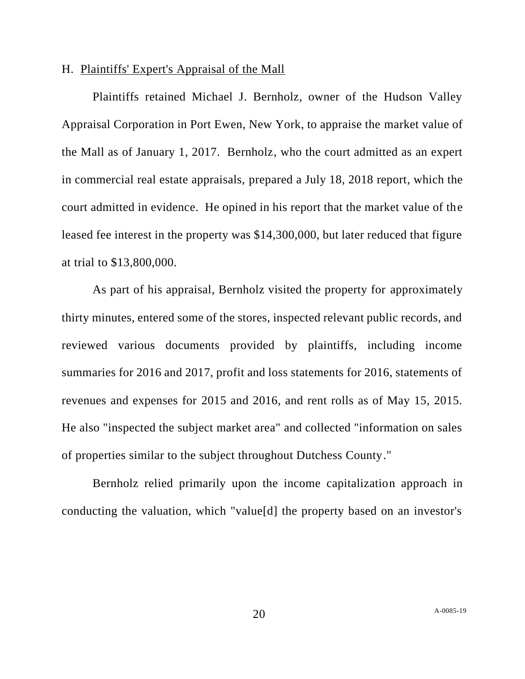# H. Plaintiffs' Expert's Appraisal of the Mall

Plaintiffs retained Michael J. Bernholz, owner of the Hudson Valley Appraisal Corporation in Port Ewen, New York, to appraise the market value of the Mall as of January 1, 2017. Bernholz, who the court admitted as an expert in commercial real estate appraisals, prepared a July 18, 2018 report, which the court admitted in evidence. He opined in his report that the market value of the leased fee interest in the property was \$14,300,000, but later reduced that figure at trial to \$13,800,000.

As part of his appraisal, Bernholz visited the property for approximately thirty minutes, entered some of the stores, inspected relevant public records, and reviewed various documents provided by plaintiffs, including income summaries for 2016 and 2017, profit and loss statements for 2016, statements of revenues and expenses for 2015 and 2016, and rent rolls as of May 15, 2015. He also "inspected the subject market area" and collected "information on sales of properties similar to the subject throughout Dutchess County."

Bernholz relied primarily upon the income capitalization approach in conducting the valuation, which "value[d] the property based on an investor's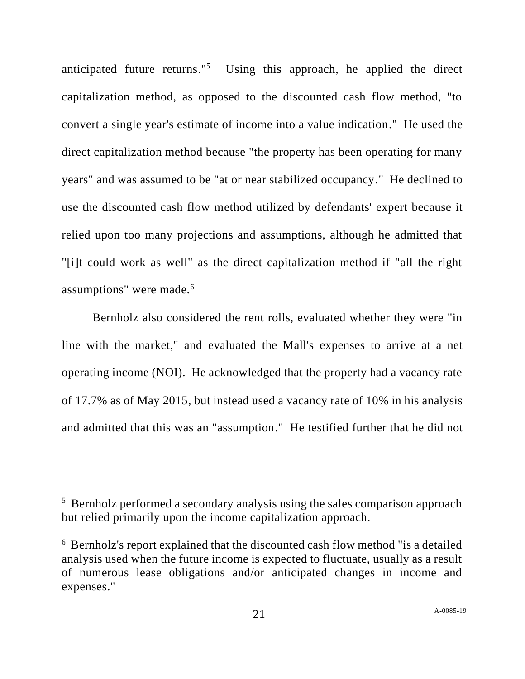anticipated future returns."<sup>5</sup> Using this approach, he applied the direct capitalization method, as opposed to the discounted cash flow method, "to convert a single year's estimate of income into a value indication." He used the direct capitalization method because "the property has been operating for many years" and was assumed to be "at or near stabilized occupancy." He declined to use the discounted cash flow method utilized by defendants' expert because it relied upon too many projections and assumptions, although he admitted that "[i]t could work as well" as the direct capitalization method if "all the right assumptions" were made.<sup>6</sup>

Bernholz also considered the rent rolls, evaluated whether they were "in line with the market," and evaluated the Mall's expenses to arrive at a net operating income (NOI). He acknowledged that the property had a vacancy rate of 17.7% as of May 2015, but instead used a vacancy rate of 10% in his analysis and admitted that this was an "assumption." He testified further that he did not

<sup>&</sup>lt;sup>5</sup> Bernholz performed a secondary analysis using the sales comparison approach but relied primarily upon the income capitalization approach.

<sup>&</sup>lt;sup>6</sup> Bernholz's report explained that the discounted cash flow method "is a detailed analysis used when the future income is expected to fluctuate, usually as a result of numerous lease obligations and/or anticipated changes in income and expenses."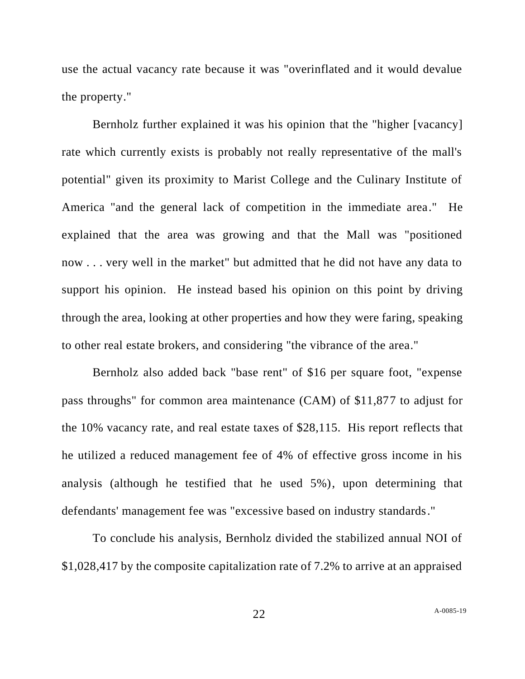use the actual vacancy rate because it was "overinflated and it would devalue the property."

Bernholz further explained it was his opinion that the "higher [vacancy] rate which currently exists is probably not really representative of the mall's potential" given its proximity to Marist College and the Culinary Institute of America "and the general lack of competition in the immediate area." He explained that the area was growing and that the Mall was "positioned now . . . very well in the market" but admitted that he did not have any data to support his opinion. He instead based his opinion on this point by driving through the area, looking at other properties and how they were faring, speaking to other real estate brokers, and considering "the vibrance of the area."

Bernholz also added back "base rent" of \$16 per square foot, "expense pass throughs" for common area maintenance (CAM) of \$11,877 to adjust for the 10% vacancy rate, and real estate taxes of \$28,115. His report reflects that he utilized a reduced management fee of 4% of effective gross income in his analysis (although he testified that he used 5%), upon determining that defendants' management fee was "excessive based on industry standards."

To conclude his analysis, Bernholz divided the stabilized annual NOI of \$1,028,417 by the composite capitalization rate of 7.2% to arrive at an appraised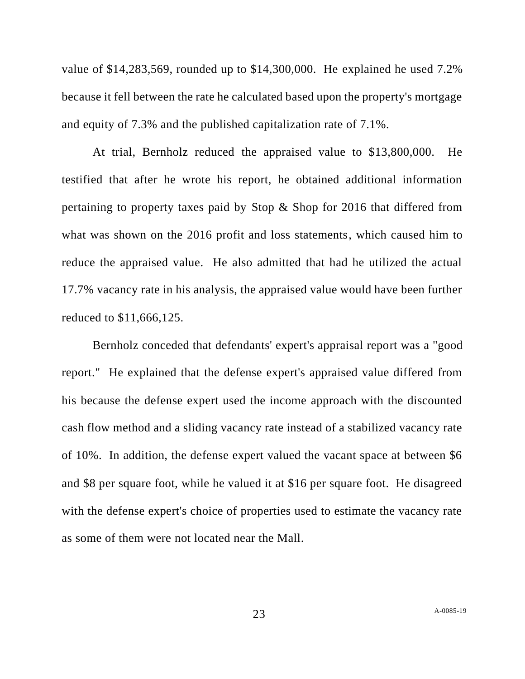value of \$14,283,569, rounded up to \$14,300,000. He explained he used 7.2% because it fell between the rate he calculated based upon the property's mortgage and equity of 7.3% and the published capitalization rate of 7.1%.

At trial, Bernholz reduced the appraised value to \$13,800,000. He testified that after he wrote his report, he obtained additional information pertaining to property taxes paid by Stop & Shop for 2016 that differed from what was shown on the 2016 profit and loss statements, which caused him to reduce the appraised value. He also admitted that had he utilized the actual 17.7% vacancy rate in his analysis, the appraised value would have been further reduced to \$11,666,125.

Bernholz conceded that defendants' expert's appraisal report was a "good report." He explained that the defense expert's appraised value differed from his because the defense expert used the income approach with the discounted cash flow method and a sliding vacancy rate instead of a stabilized vacancy rate of 10%. In addition, the defense expert valued the vacant space at between \$6 and \$8 per square foot, while he valued it at \$16 per square foot. He disagreed with the defense expert's choice of properties used to estimate the vacancy rate as some of them were not located near the Mall.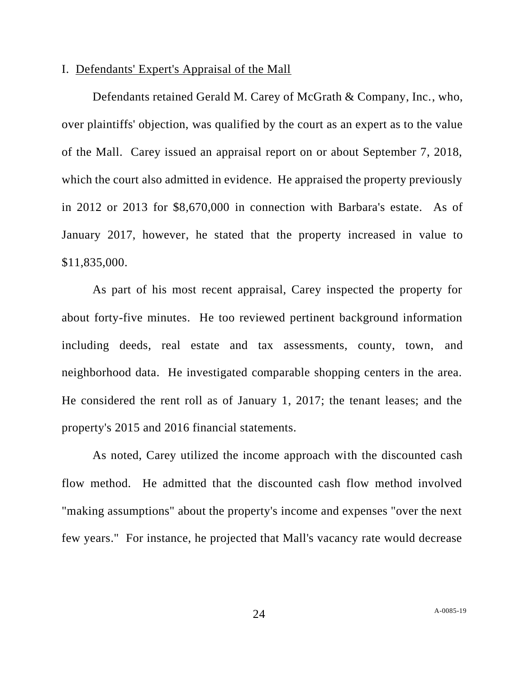### I. Defendants' Expert's Appraisal of the Mall

Defendants retained Gerald M. Carey of McGrath & Company, Inc., who, over plaintiffs' objection, was qualified by the court as an expert as to the value of the Mall. Carey issued an appraisal report on or about September 7, 2018, which the court also admitted in evidence. He appraised the property previously in 2012 or 2013 for \$8,670,000 in connection with Barbara's estate. As of January 2017, however, he stated that the property increased in value to \$11,835,000.

As part of his most recent appraisal, Carey inspected the property for about forty-five minutes. He too reviewed pertinent background information including deeds, real estate and tax assessments, county, town, and neighborhood data. He investigated comparable shopping centers in the area. He considered the rent roll as of January 1, 2017; the tenant leases; and the property's 2015 and 2016 financial statements.

As noted, Carey utilized the income approach with the discounted cash flow method. He admitted that the discounted cash flow method involved "making assumptions" about the property's income and expenses "over the next few years." For instance, he projected that Mall's vacancy rate would decrease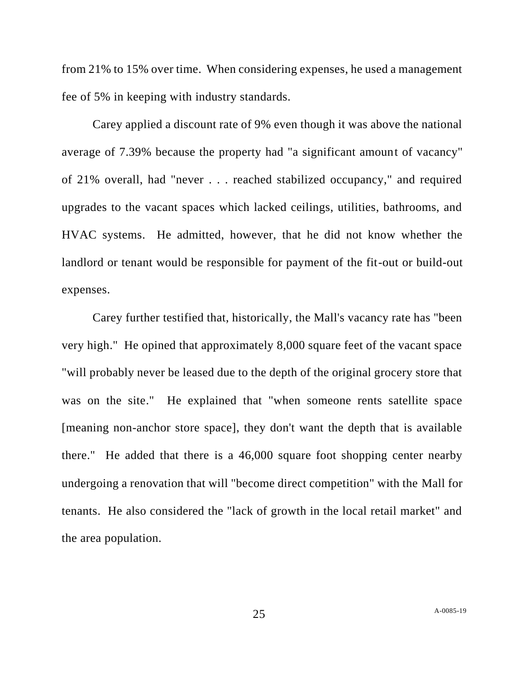from 21% to 15% over time. When considering expenses, he used a management fee of 5% in keeping with industry standards.

Carey applied a discount rate of 9% even though it was above the national average of 7.39% because the property had "a significant amount of vacancy" of 21% overall, had "never . . . reached stabilized occupancy," and required upgrades to the vacant spaces which lacked ceilings, utilities, bathrooms, and HVAC systems. He admitted, however, that he did not know whether the landlord or tenant would be responsible for payment of the fit-out or build-out expenses.

Carey further testified that, historically, the Mall's vacancy rate has "been very high." He opined that approximately 8,000 square feet of the vacant space "will probably never be leased due to the depth of the original grocery store that was on the site." He explained that "when someone rents satellite space [meaning non-anchor store space], they don't want the depth that is available there." He added that there is a 46,000 square foot shopping center nearby undergoing a renovation that will "become direct competition" with the Mall for tenants. He also considered the "lack of growth in the local retail market" and the area population.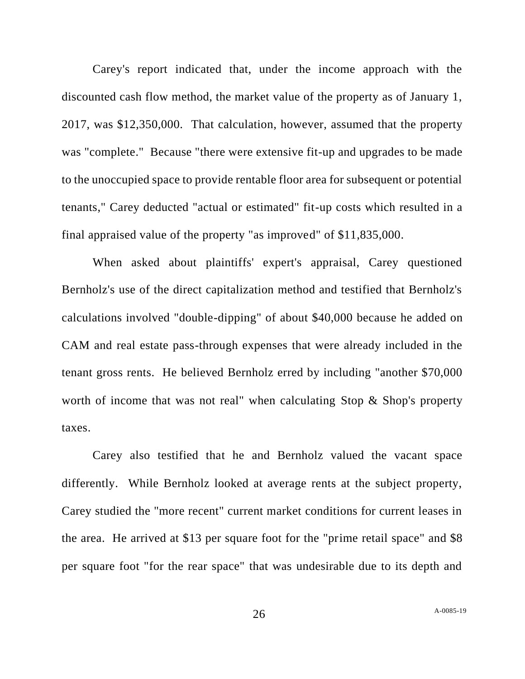Carey's report indicated that, under the income approach with the discounted cash flow method, the market value of the property as of January 1, 2017, was \$12,350,000. That calculation, however, assumed that the property was "complete." Because "there were extensive fit-up and upgrades to be made to the unoccupied space to provide rentable floor area for subsequent or potential tenants," Carey deducted "actual or estimated" fit-up costs which resulted in a final appraised value of the property "as improved" of \$11,835,000.

When asked about plaintiffs' expert's appraisal, Carey questioned Bernholz's use of the direct capitalization method and testified that Bernholz's calculations involved "double-dipping" of about \$40,000 because he added on CAM and real estate pass-through expenses that were already included in the tenant gross rents. He believed Bernholz erred by including "another \$70,000 worth of income that was not real" when calculating Stop & Shop's property taxes.

Carey also testified that he and Bernholz valued the vacant space differently. While Bernholz looked at average rents at the subject property, Carey studied the "more recent" current market conditions for current leases in the area. He arrived at \$13 per square foot for the "prime retail space" and \$8 per square foot "for the rear space" that was undesirable due to its depth and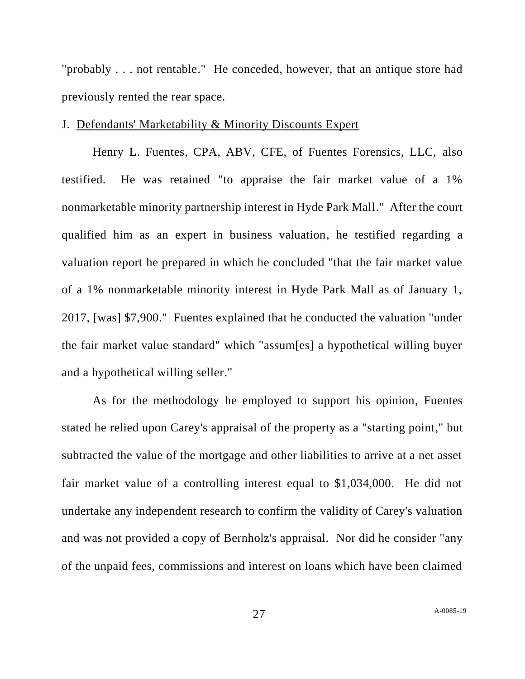"probably . . . not rentable." He conceded, however, that an antique store had previously rented the rear space.

## J. Defendants' Marketability & Minority Discounts Expert

Henry L. Fuentes, CPA, ABV, CFE, of Fuentes Forensics, LLC, also testified. He was retained "to appraise the fair market value of a 1% nonmarketable minority partnership interest in Hyde Park Mall." After the court qualified him as an expert in business valuation, he testified regarding a valuation report he prepared in which he concluded "that the fair market value of a 1% nonmarketable minority interest in Hyde Park Mall as of January 1, 2017, [was] \$7,900." Fuentes explained that he conducted the valuation "under the fair market value standard" which "assum[es] a hypothetical willing buyer and a hypothetical willing seller."

As for the methodology he employed to support his opinion, Fuentes stated he relied upon Carey's appraisal of the property as a "starting point," but subtracted the value of the mortgage and other liabilities to arrive at a net asset fair market value of a controlling interest equal to \$1,034,000. He did not undertake any independent research to confirm the validity of Carey's valuation and was not provided a copy of Bernholz's appraisal. Nor did he consider "any of the unpaid fees, commissions and interest on loans which have been claimed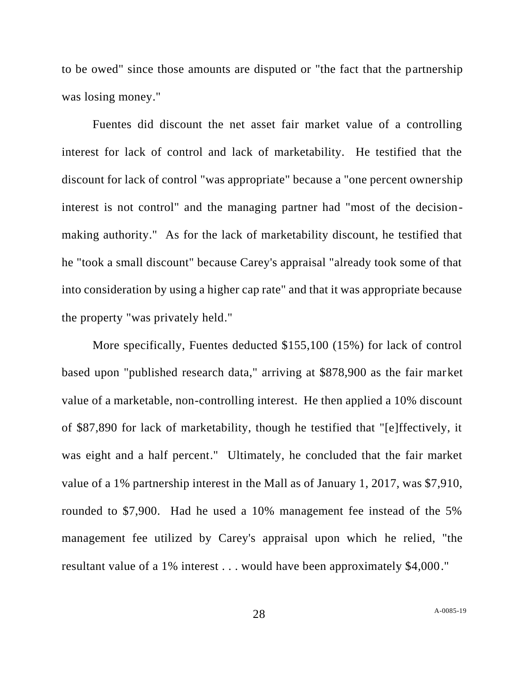to be owed" since those amounts are disputed or "the fact that the partnership was losing money."

Fuentes did discount the net asset fair market value of a controlling interest for lack of control and lack of marketability. He testified that the discount for lack of control "was appropriate" because a "one percent ownership interest is not control" and the managing partner had "most of the decisionmaking authority." As for the lack of marketability discount, he testified that he "took a small discount" because Carey's appraisal "already took some of that into consideration by using a higher cap rate" and that it was appropriate because the property "was privately held."

More specifically, Fuentes deducted \$155,100 (15%) for lack of control based upon "published research data," arriving at \$878,900 as the fair market value of a marketable, non-controlling interest. He then applied a 10% discount of \$87,890 for lack of marketability, though he testified that "[e]ffectively, it was eight and a half percent." Ultimately, he concluded that the fair market value of a 1% partnership interest in the Mall as of January 1, 2017, was \$7,910, rounded to \$7,900. Had he used a 10% management fee instead of the 5% management fee utilized by Carey's appraisal upon which he relied, "the resultant value of a 1% interest . . . would have been approximately \$4,000."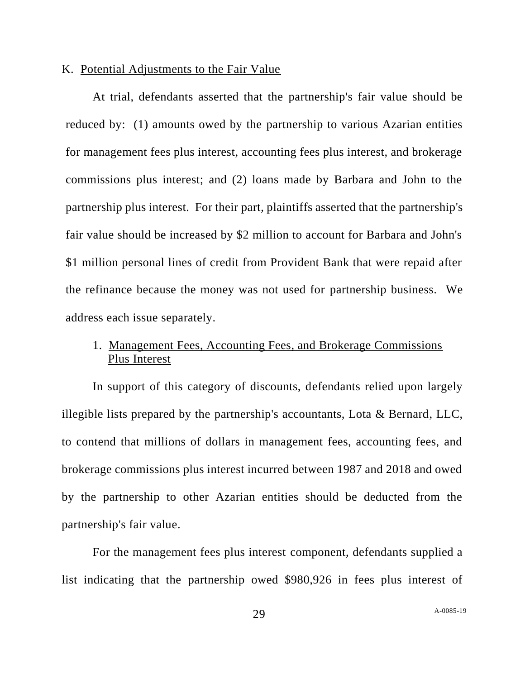#### K. Potential Adjustments to the Fair Value

At trial, defendants asserted that the partnership's fair value should be reduced by: (1) amounts owed by the partnership to various Azarian entities for management fees plus interest, accounting fees plus interest, and brokerage commissions plus interest; and (2) loans made by Barbara and John to the partnership plus interest. For their part, plaintiffs asserted that the partnership's fair value should be increased by \$2 million to account for Barbara and John's \$1 million personal lines of credit from Provident Bank that were repaid after the refinance because the money was not used for partnership business. We address each issue separately.

# 1. Management Fees, Accounting Fees, and Brokerage Commissions Plus Interest

In support of this category of discounts, defendants relied upon largely illegible lists prepared by the partnership's accountants, Lota & Bernard, LLC, to contend that millions of dollars in management fees, accounting fees, and brokerage commissions plus interest incurred between 1987 and 2018 and owed by the partnership to other Azarian entities should be deducted from the partnership's fair value.

For the management fees plus interest component, defendants supplied a list indicating that the partnership owed \$980,926 in fees plus interest of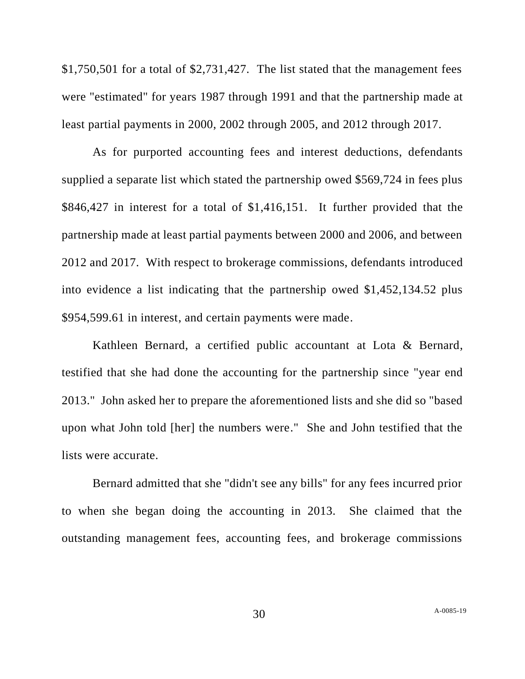\$1,750,501 for a total of \$2,731,427. The list stated that the management fees were "estimated" for years 1987 through 1991 and that the partnership made at least partial payments in 2000, 2002 through 2005, and 2012 through 2017.

As for purported accounting fees and interest deductions, defendants supplied a separate list which stated the partnership owed \$569,724 in fees plus \$846,427 in interest for a total of \$1,416,151. It further provided that the partnership made at least partial payments between 2000 and 2006, and between 2012 and 2017. With respect to brokerage commissions, defendants introduced into evidence a list indicating that the partnership owed \$1,452,134.52 plus \$954,599.61 in interest, and certain payments were made.

Kathleen Bernard, a certified public accountant at Lota & Bernard, testified that she had done the accounting for the partnership since "year end 2013." John asked her to prepare the aforementioned lists and she did so "based upon what John told [her] the numbers were." She and John testified that the lists were accurate.

Bernard admitted that she "didn't see any bills" for any fees incurred prior to when she began doing the accounting in 2013. She claimed that the outstanding management fees, accounting fees, and brokerage commissions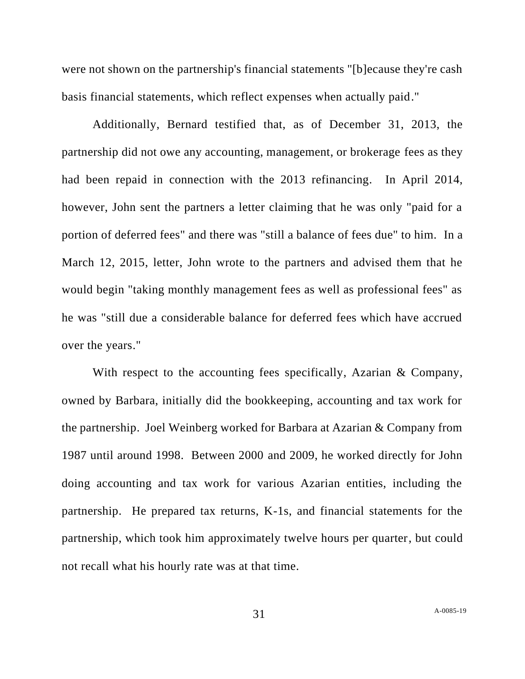were not shown on the partnership's financial statements "[b]ecause they're cash basis financial statements, which reflect expenses when actually paid."

Additionally, Bernard testified that, as of December 31, 2013, the partnership did not owe any accounting, management, or brokerage fees as they had been repaid in connection with the 2013 refinancing. In April 2014, however, John sent the partners a letter claiming that he was only "paid for a portion of deferred fees" and there was "still a balance of fees due" to him. In a March 12, 2015, letter, John wrote to the partners and advised them that he would begin "taking monthly management fees as well as professional fees" as he was "still due a considerable balance for deferred fees which have accrued over the years."

With respect to the accounting fees specifically, Azarian & Company, owned by Barbara, initially did the bookkeeping, accounting and tax work for the partnership. Joel Weinberg worked for Barbara at Azarian & Company from 1987 until around 1998. Between 2000 and 2009, he worked directly for John doing accounting and tax work for various Azarian entities, including the partnership. He prepared tax returns, K-1s, and financial statements for the partnership, which took him approximately twelve hours per quarter, but could not recall what his hourly rate was at that time.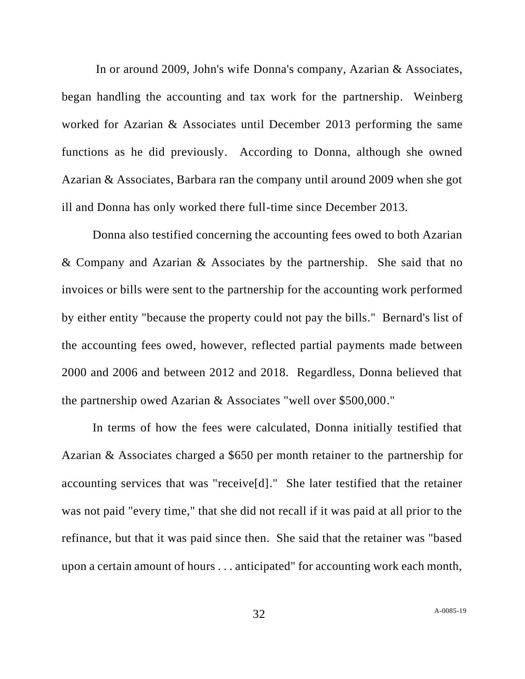In or around 2009, John's wife Donna's company, Azarian & Associates, began handling the accounting and tax work for the partnership. Weinberg worked for Azarian & Associates until December 2013 performing the same functions as he did previously. According to Donna, although she owned Azarian & Associates, Barbara ran the company until around 2009 when she got ill and Donna has only worked there full-time since December 2013.

Donna also testified concerning the accounting fees owed to both Azarian & Company and Azarian & Associates by the partnership. She said that no invoices or bills were sent to the partnership for the accounting work performed by either entity "because the property could not pay the bills." Bernard's list of the accounting fees owed, however, reflected partial payments made between 2000 and 2006 and between 2012 and 2018. Regardless, Donna believed that the partnership owed Azarian & Associates "well over \$500,000."

In terms of how the fees were calculated, Donna initially testified that Azarian & Associates charged a \$650 per month retainer to the partnership for accounting services that was "receive[d]." She later testified that the retainer was not paid "every time," that she did not recall if it was paid at all prior to the refinance, but that it was paid since then. She said that the retainer was "based upon a certain amount of hours . . . anticipated" for accounting work each month,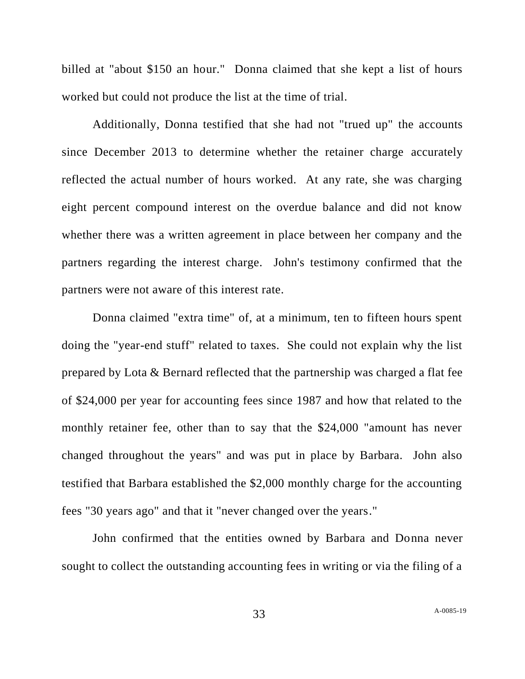billed at "about \$150 an hour." Donna claimed that she kept a list of hours worked but could not produce the list at the time of trial.

Additionally, Donna testified that she had not "trued up" the accounts since December 2013 to determine whether the retainer charge accurately reflected the actual number of hours worked. At any rate, she was charging eight percent compound interest on the overdue balance and did not know whether there was a written agreement in place between her company and the partners regarding the interest charge. John's testimony confirmed that the partners were not aware of this interest rate.

Donna claimed "extra time" of, at a minimum, ten to fifteen hours spent doing the "year-end stuff" related to taxes. She could not explain why the list prepared by Lota & Bernard reflected that the partnership was charged a flat fee of \$24,000 per year for accounting fees since 1987 and how that related to the monthly retainer fee, other than to say that the \$24,000 "amount has never changed throughout the years" and was put in place by Barbara. John also testified that Barbara established the \$2,000 monthly charge for the accounting fees "30 years ago" and that it "never changed over the years."

John confirmed that the entities owned by Barbara and Donna never sought to collect the outstanding accounting fees in writing or via the filing of a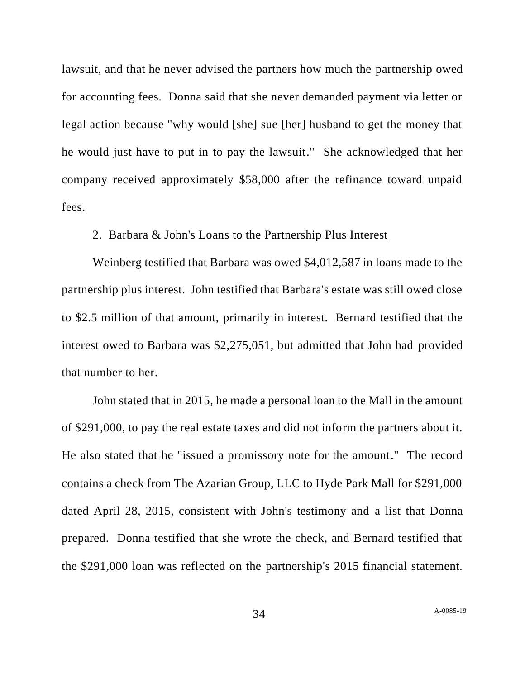lawsuit, and that he never advised the partners how much the partnership owed for accounting fees. Donna said that she never demanded payment via letter or legal action because "why would [she] sue [her] husband to get the money that he would just have to put in to pay the lawsuit." She acknowledged that her company received approximately \$58,000 after the refinance toward unpaid fees.

## 2. Barbara & John's Loans to the Partnership Plus Interest

Weinberg testified that Barbara was owed \$4,012,587 in loans made to the partnership plus interest. John testified that Barbara's estate was still owed close to \$2.5 million of that amount, primarily in interest. Bernard testified that the interest owed to Barbara was \$2,275,051, but admitted that John had provided that number to her.

John stated that in 2015, he made a personal loan to the Mall in the amount of \$291,000, to pay the real estate taxes and did not inform the partners about it. He also stated that he "issued a promissory note for the amount." The record contains a check from The Azarian Group, LLC to Hyde Park Mall for \$291,000 dated April 28, 2015, consistent with John's testimony and a list that Donna prepared. Donna testified that she wrote the check, and Bernard testified that the \$291,000 loan was reflected on the partnership's 2015 financial statement.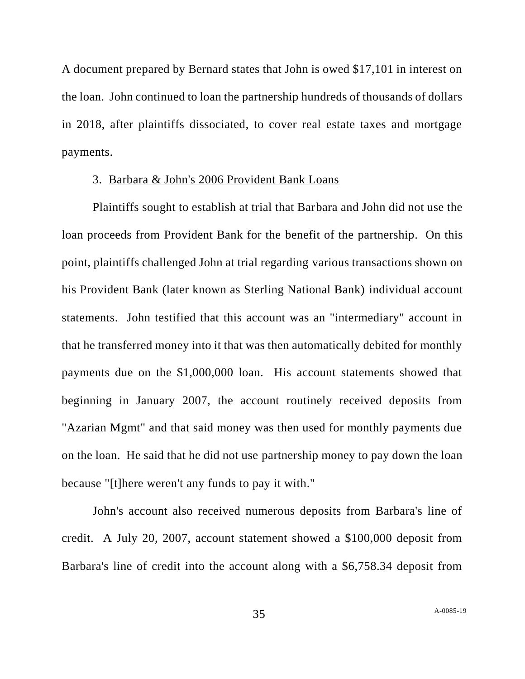A document prepared by Bernard states that John is owed \$17,101 in interest on the loan. John continued to loan the partnership hundreds of thousands of dollars in 2018, after plaintiffs dissociated, to cover real estate taxes and mortgage payments.

# 3. Barbara & John's 2006 Provident Bank Loans

Plaintiffs sought to establish at trial that Barbara and John did not use the loan proceeds from Provident Bank for the benefit of the partnership. On this point, plaintiffs challenged John at trial regarding various transactions shown on his Provident Bank (later known as Sterling National Bank) individual account statements. John testified that this account was an "intermediary" account in that he transferred money into it that was then automatically debited for monthly payments due on the \$1,000,000 loan. His account statements showed that beginning in January 2007, the account routinely received deposits from "Azarian Mgmt" and that said money was then used for monthly payments due on the loan. He said that he did not use partnership money to pay down the loan because "[t]here weren't any funds to pay it with."

John's account also received numerous deposits from Barbara's line of credit. A July 20, 2007, account statement showed a \$100,000 deposit from Barbara's line of credit into the account along with a \$6,758.34 deposit from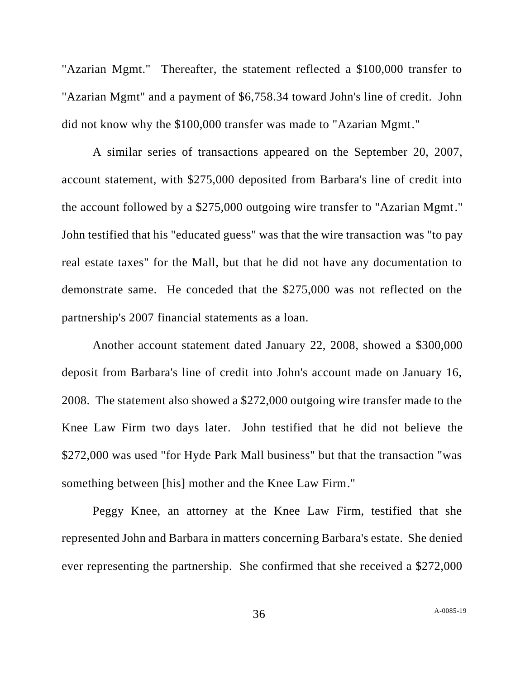"Azarian Mgmt." Thereafter, the statement reflected a \$100,000 transfer to "Azarian Mgmt" and a payment of \$6,758.34 toward John's line of credit. John did not know why the \$100,000 transfer was made to "Azarian Mgmt."

A similar series of transactions appeared on the September 20, 2007, account statement, with \$275,000 deposited from Barbara's line of credit into the account followed by a \$275,000 outgoing wire transfer to "Azarian Mgmt." John testified that his "educated guess" was that the wire transaction was "to pay real estate taxes" for the Mall, but that he did not have any documentation to demonstrate same. He conceded that the \$275,000 was not reflected on the partnership's 2007 financial statements as a loan.

Another account statement dated January 22, 2008, showed a \$300,000 deposit from Barbara's line of credit into John's account made on January 16, 2008. The statement also showed a \$272,000 outgoing wire transfer made to the Knee Law Firm two days later. John testified that he did not believe the \$272,000 was used "for Hyde Park Mall business" but that the transaction "was something between [his] mother and the Knee Law Firm."

Peggy Knee, an attorney at the Knee Law Firm, testified that she represented John and Barbara in matters concerning Barbara's estate. She denied ever representing the partnership. She confirmed that she received a \$272,000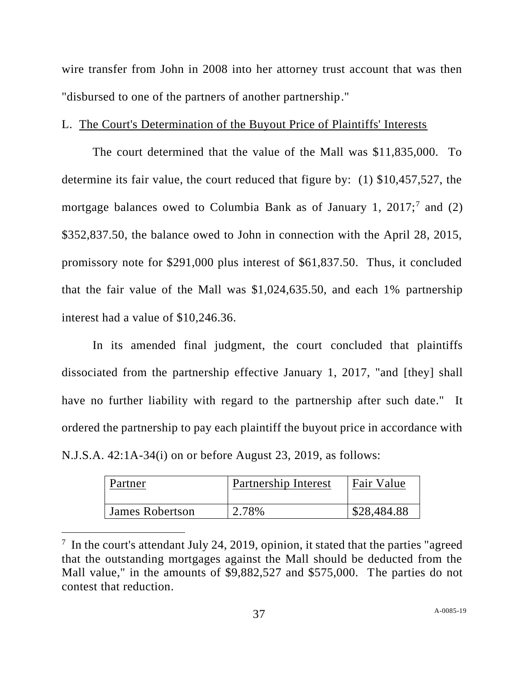wire transfer from John in 2008 into her attorney trust account that was then "disbursed to one of the partners of another partnership."

# L. The Court's Determination of the Buyout Price of Plaintiffs' Interests

The court determined that the value of the Mall was \$11,835,000. To determine its fair value, the court reduced that figure by: (1) \$10,457,527, the mortgage balances owed to Columbia Bank as of January 1,  $2017$ ;<sup>7</sup> and (2) \$352,837.50, the balance owed to John in connection with the April 28, 2015, promissory note for \$291,000 plus interest of \$61,837.50. Thus, it concluded that the fair value of the Mall was \$1,024,635.50, and each 1% partnership interest had a value of \$10,246.36.

In its amended final judgment, the court concluded that plaintiffs dissociated from the partnership effective January 1, 2017, "and [they] shall have no further liability with regard to the partnership after such date." It ordered the partnership to pay each plaintiff the buyout price in accordance with N.J.S.A. 42:1A-34(i) on or before August 23, 2019, as follows:

| Partner         | Partnership Interest | Fair Value  |
|-----------------|----------------------|-------------|
| James Robertson | 2.78%                | \$28,484.88 |

 $7$  In the court's attendant July 24, 2019, opinion, it stated that the parties "agreed" that the outstanding mortgages against the Mall should be deducted from the Mall value," in the amounts of \$9,882,527 and \$575,000. The parties do not contest that reduction.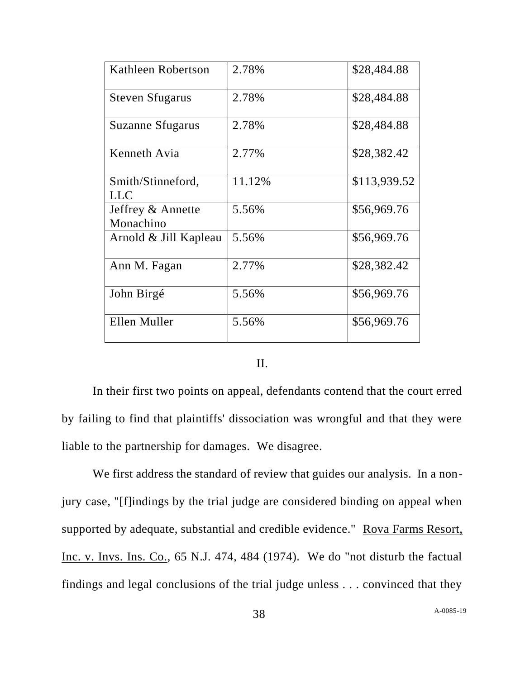| Kathleen Robertson             | 2.78%  | \$28,484.88  |
|--------------------------------|--------|--------------|
| <b>Steven Sfugarus</b>         | 2.78%  | \$28,484.88  |
| Suzanne Sfugarus               | 2.78%  | \$28,484.88  |
| Kenneth Avia                   | 2.77%  | \$28,382.42  |
| Smith/Stinneford,<br>LLC       | 11.12% | \$113,939.52 |
| Jeffrey & Annette<br>Monachino | 5.56%  | \$56,969.76  |
| Arnold & Jill Kapleau          | 5.56%  | \$56,969.76  |
| Ann M. Fagan                   | 2.77%  | \$28,382.42  |
| John Birgé                     | 5.56%  | \$56,969.76  |
| Ellen Muller                   | 5.56%  | \$56,969.76  |

### II.

In their first two points on appeal, defendants contend that the court erred by failing to find that plaintiffs' dissociation was wrongful and that they were liable to the partnership for damages. We disagree.

We first address the standard of review that guides our analysis. In a nonjury case, "[f]indings by the trial judge are considered binding on appeal when supported by adequate, substantial and credible evidence." Rova Farms Resort, Inc. v. Invs. Ins. Co., 65 N.J. 474, 484 (1974). We do "not disturb the factual findings and legal conclusions of the trial judge unless . . . convinced that they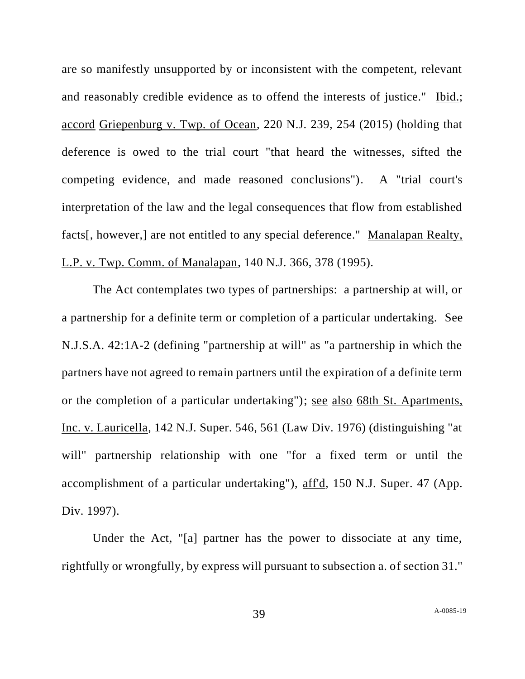are so manifestly unsupported by or inconsistent with the competent, relevant and reasonably credible evidence as to offend the interests of justice." Ibid.; accord Griepenburg v. Twp. of Ocean, 220 N.J. 239, 254 (2015) (holding that deference is owed to the trial court "that heard the witnesses, sifted the competing evidence, and made reasoned conclusions"). A "trial court's interpretation of the law and the legal consequences that flow from established facts[, however,] are not entitled to any special deference." Manalapan Realty, L.P. v. Twp. Comm. of Manalapan, 140 N.J. 366, 378 (1995).

The Act contemplates two types of partnerships: a partnership at will, or a partnership for a definite term or completion of a particular undertaking. See N.J.S.A. 42:1A-2 (defining "partnership at will" as "a partnership in which the partners have not agreed to remain partners until the expiration of a definite term or the completion of a particular undertaking"); see also 68th St. Apartments, Inc. v. Lauricella, 142 N.J. Super. 546, 561 (Law Div. 1976) (distinguishing "at will" partnership relationship with one "for a fixed term or until the accomplishment of a particular undertaking"), aff'd, 150 N.J. Super. 47 (App. Div. 1997).

Under the Act, "[a] partner has the power to dissociate at any time, rightfully or wrongfully, by express will pursuant to subsection a. of section 31."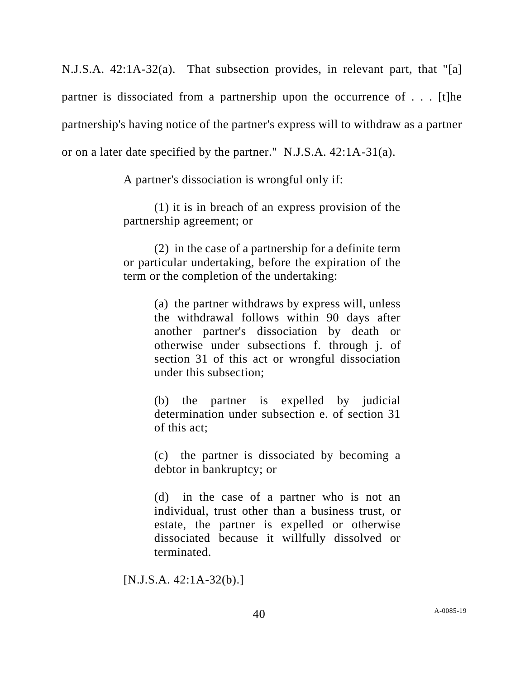N.J.S.A. 42:1A-32(a). That subsection provides, in relevant part, that "[a] partner is dissociated from a partnership upon the occurrence of . . . [t]he partnership's having notice of the partner's express will to withdraw as a partner or on a later date specified by the partner." N.J.S.A. 42:1A-31(a).

A partner's dissociation is wrongful only if:

(1) it is in breach of an express provision of the partnership agreement; or

(2) in the case of a partnership for a definite term or particular undertaking, before the expiration of the term or the completion of the undertaking:

> (a) the partner withdraws by express will, unless the withdrawal follows within 90 days after another partner's dissociation by death or otherwise under subsections f. through j. of section 31 of this act or wrongful dissociation under this subsection;

> (b) the partner is expelled by judicial determination under subsection e. of section 31 of this act;

> (c) the partner is dissociated by becoming a debtor in bankruptcy; or

> (d) in the case of a partner who is not an individual, trust other than a business trust, or estate, the partner is expelled or otherwise dissociated because it willfully dissolved or terminated.

[N.J.S.A. 42:1A-32(b).]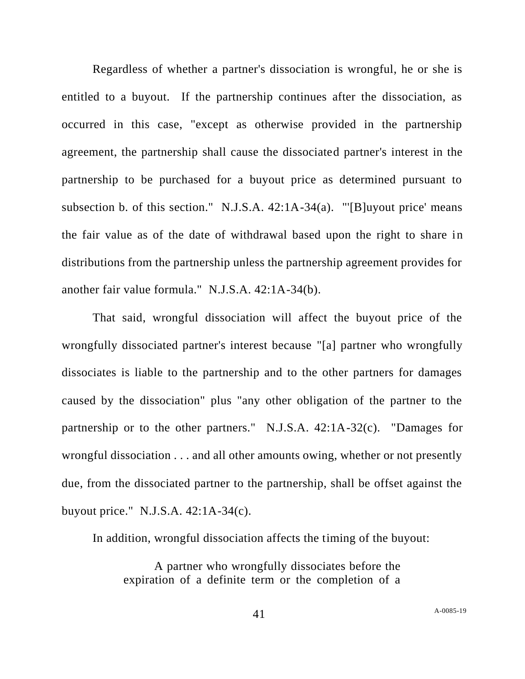Regardless of whether a partner's dissociation is wrongful, he or she is entitled to a buyout. If the partnership continues after the dissociation, as occurred in this case, "except as otherwise provided in the partnership agreement, the partnership shall cause the dissociated partner's interest in the partnership to be purchased for a buyout price as determined pursuant to subsection b. of this section." N.J.S.A. 42:1A-34(a). "'[B]uyout price' means the fair value as of the date of withdrawal based upon the right to share in distributions from the partnership unless the partnership agreement provides for another fair value formula." N.J.S.A. 42:1A-34(b).

That said, wrongful dissociation will affect the buyout price of the wrongfully dissociated partner's interest because "[a] partner who wrongfully dissociates is liable to the partnership and to the other partners for damages caused by the dissociation" plus "any other obligation of the partner to the partnership or to the other partners." N.J.S.A. 42:1A-32(c). "Damages for wrongful dissociation . . . and all other amounts owing, whether or not presently due, from the dissociated partner to the partnership, shall be offset against the buyout price." N.J.S.A. 42:1A-34(c).

In addition, wrongful dissociation affects the timing of the buyout:

A partner who wrongfully dissociates before the expiration of a definite term or the completion of a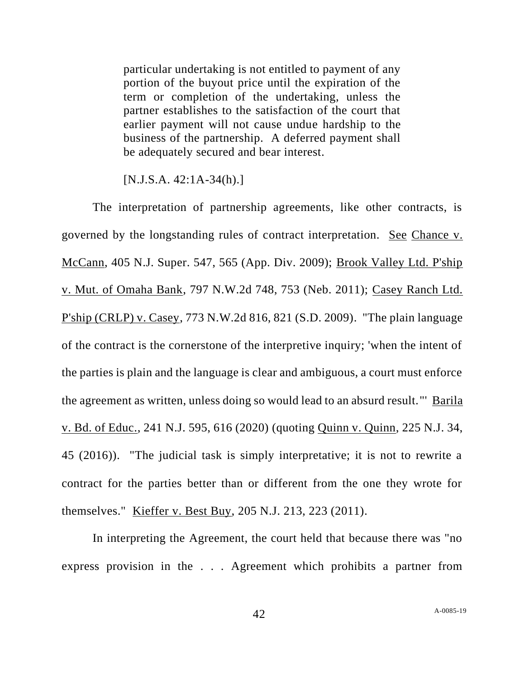particular undertaking is not entitled to payment of any portion of the buyout price until the expiration of the term or completion of the undertaking, unless the partner establishes to the satisfaction of the court that earlier payment will not cause undue hardship to the business of the partnership. A deferred payment shall be adequately secured and bear interest.

 $[N.J.S.A. 42:1A-34(h).]$ 

The interpretation of partnership agreements, like other contracts, is governed by the longstanding rules of contract interpretation. See Chance v. McCann, 405 N.J. Super. 547, 565 (App. Div. 2009); Brook Valley Ltd. P'ship v. Mut. of Omaha Bank, 797 N.W.2d 748, 753 (Neb. 2011); Casey Ranch Ltd. P'ship (CRLP) v. Casey, 773 N.W.2d 816, 821 (S.D. 2009). "The plain language of the contract is the cornerstone of the interpretive inquiry; 'when the intent of the parties is plain and the language is clear and ambiguous, a court must enforce the agreement as written, unless doing so would lead to an absurd result."' Barila v. Bd. of Educ., 241 N.J. 595, 616 (2020) (quoting Quinn v. Quinn, 225 N.J. 34, 45 (2016)). "The judicial task is simply interpretative; it is not to rewrite a contract for the parties better than or different from the one they wrote for themselves." Kieffer v. Best Buy, 205 N.J. 213, 223 (2011).

In interpreting the Agreement, the court held that because there was "no express provision in the . . . Agreement which prohibits a partner from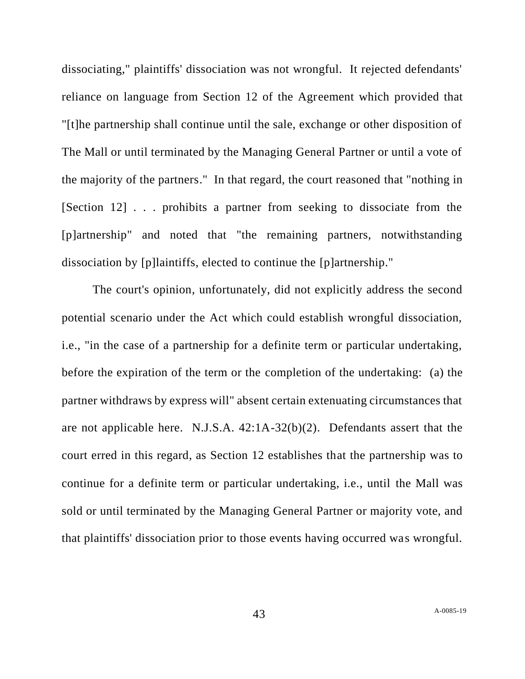dissociating," plaintiffs' dissociation was not wrongful. It rejected defendants' reliance on language from Section 12 of the Agreement which provided that "[t]he partnership shall continue until the sale, exchange or other disposition of The Mall or until terminated by the Managing General Partner or until a vote of the majority of the partners." In that regard, the court reasoned that "nothing in [Section 12] . . . prohibits a partner from seeking to dissociate from the [p]artnership" and noted that "the remaining partners, notwithstanding dissociation by [p]laintiffs, elected to continue the [p]artnership."

The court's opinion, unfortunately, did not explicitly address the second potential scenario under the Act which could establish wrongful dissociation, i.e., "in the case of a partnership for a definite term or particular undertaking, before the expiration of the term or the completion of the undertaking: (a) the partner withdraws by express will" absent certain extenuating circumstances that are not applicable here. N.J.S.A. 42:1A-32(b)(2). Defendants assert that the court erred in this regard, as Section 12 establishes that the partnership was to continue for a definite term or particular undertaking, i.e., until the Mall was sold or until terminated by the Managing General Partner or majority vote, and that plaintiffs' dissociation prior to those events having occurred was wrongful.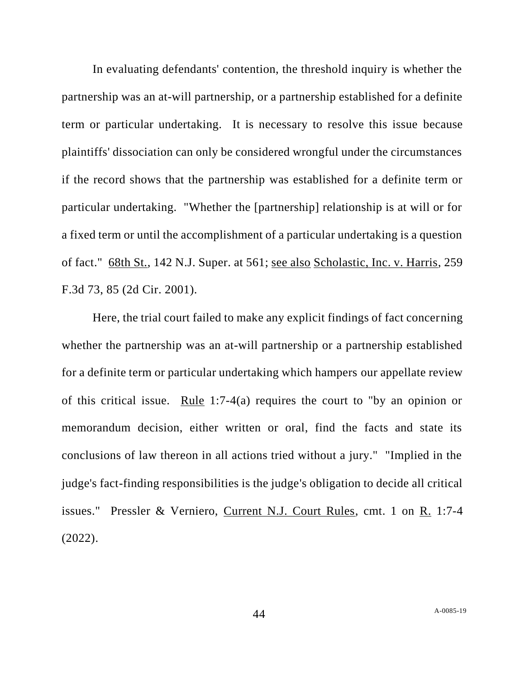In evaluating defendants' contention, the threshold inquiry is whether the partnership was an at-will partnership, or a partnership established for a definite term or particular undertaking. It is necessary to resolve this issue because plaintiffs' dissociation can only be considered wrongful under the circumstances if the record shows that the partnership was established for a definite term or particular undertaking. "Whether the [partnership] relationship is at will or for a fixed term or until the accomplishment of a particular undertaking is a question of fact." 68th St., 142 N.J. Super. at 561; see also Scholastic, Inc. v. Harris, 259 F.3d 73, 85 (2d Cir. 2001).

Here, the trial court failed to make any explicit findings of fact concerning whether the partnership was an at-will partnership or a partnership established for a definite term or particular undertaking which hampers our appellate review of this critical issue. Rule 1:7-4(a) requires the court to "by an opinion or memorandum decision, either written or oral, find the facts and state its conclusions of law thereon in all actions tried without a jury." "Implied in the judge's fact-finding responsibilities is the judge's obligation to decide all critical issues." Pressler & Verniero, Current N.J. Court Rules, cmt. 1 on R. 1:7-4 (2022).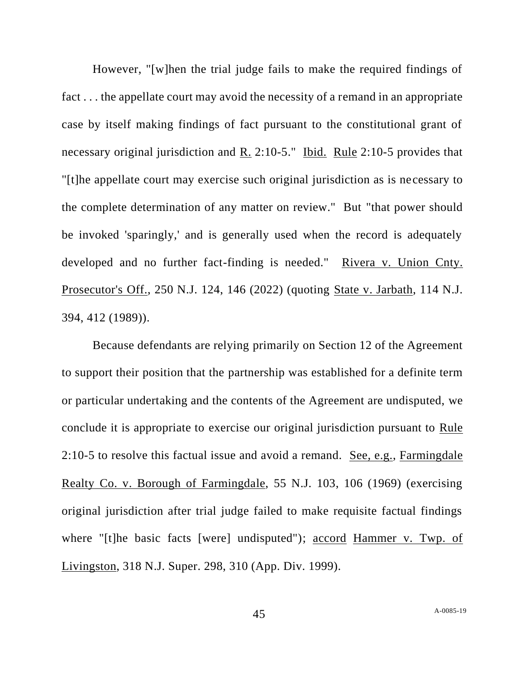However, "[w]hen the trial judge fails to make the required findings of fact . . . the appellate court may avoid the necessity of a remand in an appropriate case by itself making findings of fact pursuant to the constitutional grant of necessary original jurisdiction and R. 2:10-5." Ibid. Rule 2:10-5 provides that "[t]he appellate court may exercise such original jurisdiction as is necessary to the complete determination of any matter on review." But "that power should be invoked 'sparingly,' and is generally used when the record is adequately developed and no further fact-finding is needed." Rivera v. Union Cnty. Prosecutor's Off., 250 N.J. 124, 146 (2022) (quoting State v. Jarbath, 114 N.J. 394, 412 (1989)).

Because defendants are relying primarily on Section 12 of the Agreement to support their position that the partnership was established for a definite term or particular undertaking and the contents of the Agreement are undisputed, we conclude it is appropriate to exercise our original jurisdiction pursuant to Rule 2:10-5 to resolve this factual issue and avoid a remand. See, e.g., Farmingdale Realty Co. v. Borough of Farmingdale, 55 N.J. 103, 106 (1969) (exercising original jurisdiction after trial judge failed to make requisite factual findings where "[t]he basic facts [were] undisputed"); accord Hammer v. Twp. of Livingston, 318 N.J. Super. 298, 310 (App. Div. 1999).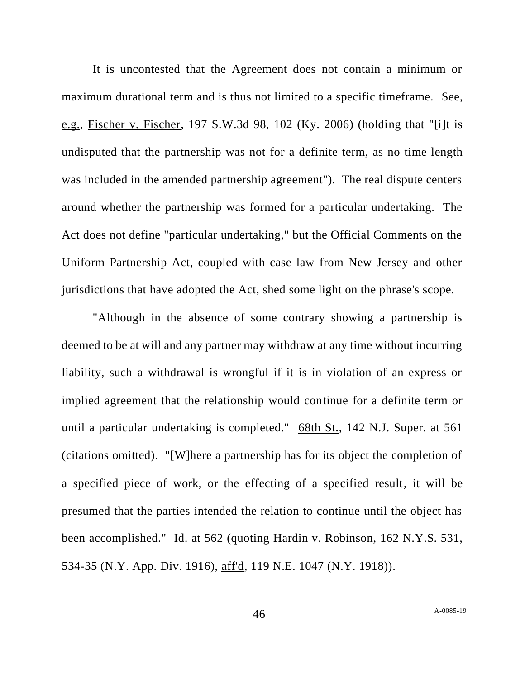It is uncontested that the Agreement does not contain a minimum or maximum durational term and is thus not limited to a specific timeframe. See, e.g., Fischer v. Fischer, 197 S.W.3d 98, 102 (Ky. 2006) (holding that "[i]t is undisputed that the partnership was not for a definite term, as no time length was included in the amended partnership agreement"). The real dispute centers around whether the partnership was formed for a particular undertaking. The Act does not define "particular undertaking," but the Official Comments on the Uniform Partnership Act, coupled with case law from New Jersey and other jurisdictions that have adopted the Act, shed some light on the phrase's scope.

"Although in the absence of some contrary showing a partnership is deemed to be at will and any partner may withdraw at any time without incurring liability, such a withdrawal is wrongful if it is in violation of an express or implied agreement that the relationship would continue for a definite term or until a particular undertaking is completed." 68th St., 142 N.J. Super. at 561 (citations omitted). "[W]here a partnership has for its object the completion of a specified piece of work, or the effecting of a specified result, it will be presumed that the parties intended the relation to continue until the object has been accomplished." Id. at 562 (quoting Hardin v. Robinson, 162 N.Y.S. 531, 534-35 (N.Y. App. Div. 1916), aff'd, 119 N.E. 1047 (N.Y. 1918)).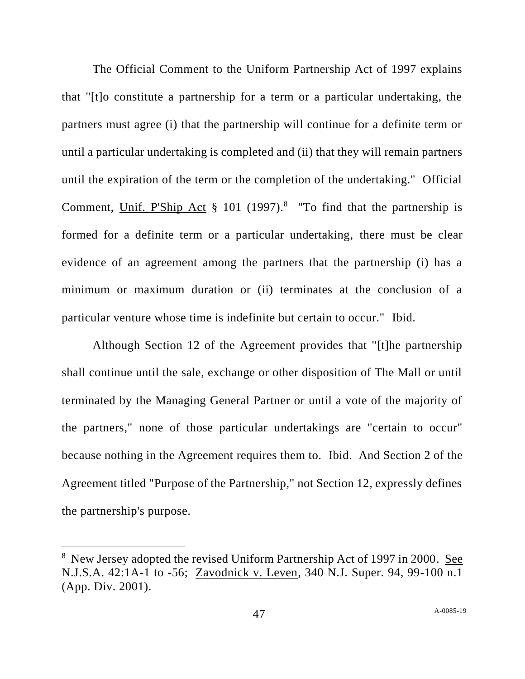The Official Comment to the Uniform Partnership Act of 1997 explains that "[t]o constitute a partnership for a term or a particular undertaking, the partners must agree (i) that the partnership will continue for a definite term or until a particular undertaking is completed and (ii) that they will remain partners until the expiration of the term or the completion of the undertaking." Official Comment, Unif. P'Ship Act  $\S$  101 (1997).<sup>8</sup> "To find that the partnership is formed for a definite term or a particular undertaking, there must be clear evidence of an agreement among the partners that the partnership (i) has a minimum or maximum duration or (ii) terminates at the conclusion of a particular venture whose time is indefinite but certain to occur." Ibid.

Although Section 12 of the Agreement provides that "[t]he partnership shall continue until the sale, exchange or other disposition of The Mall or until terminated by the Managing General Partner or until a vote of the majority of the partners," none of those particular undertakings are "certain to occur" because nothing in the Agreement requires them to. Ibid. And Section 2 of the Agreement titled "Purpose of the Partnership," not Section 12, expressly defines the partnership's purpose.

<sup>&</sup>lt;sup>8</sup> New Jersey adopted the revised Uniform Partnership Act of 1997 in 2000. See N.J.S.A. 42:1A-1 to -56; Zavodnick v. Leven, 340 N.J. Super. 94, 99-100 n.1 (App. Div. 2001).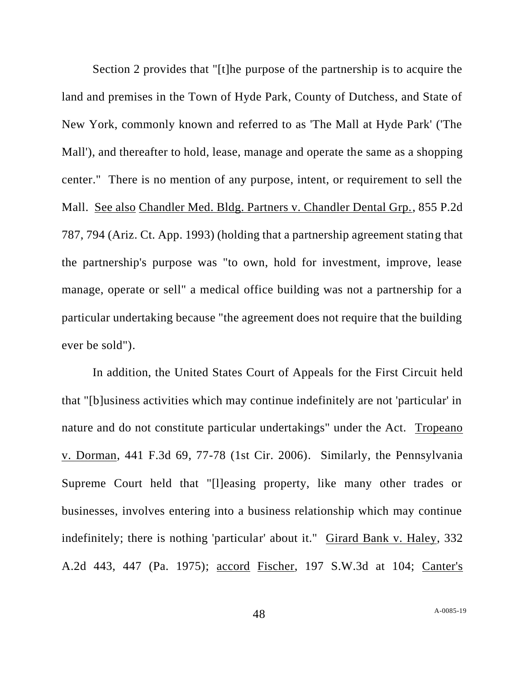Section 2 provides that "[t]he purpose of the partnership is to acquire the land and premises in the Town of Hyde Park, County of Dutchess, and State of New York, commonly known and referred to as 'The Mall at Hyde Park' ('The Mall'), and thereafter to hold, lease, manage and operate the same as a shopping center." There is no mention of any purpose, intent, or requirement to sell the Mall. See also Chandler Med. Bldg. Partners v. Chandler Dental Grp., 855 P.2d 787, 794 (Ariz. Ct. App. 1993) (holding that a partnership agreement stating that the partnership's purpose was "to own, hold for investment, improve, lease manage, operate or sell" a medical office building was not a partnership for a particular undertaking because "the agreement does not require that the building ever be sold").

In addition, the United States Court of Appeals for the First Circuit held that "[b]usiness activities which may continue indefinitely are not 'particular' in nature and do not constitute particular undertakings" under the Act. Tropeano v. Dorman, 441 F.3d 69, 77-78 (1st Cir. 2006). Similarly, the Pennsylvania Supreme Court held that "[l]easing property, like many other trades or businesses, involves entering into a business relationship which may continue indefinitely; there is nothing 'particular' about it." Girard Bank v. Haley, 332 A.2d 443, 447 (Pa. 1975); accord Fischer, 197 S.W.3d at 104; Canter's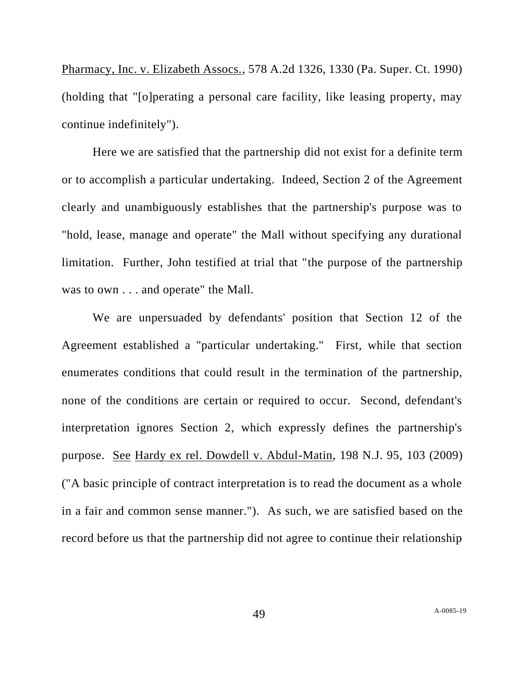Pharmacy, Inc. v. Elizabeth Assocs., 578 A.2d 1326, 1330 (Pa. Super. Ct. 1990) (holding that "[o]perating a personal care facility, like leasing property, may continue indefinitely").

Here we are satisfied that the partnership did not exist for a definite term or to accomplish a particular undertaking. Indeed, Section 2 of the Agreement clearly and unambiguously establishes that the partnership's purpose was to "hold, lease, manage and operate" the Mall without specifying any durational limitation. Further, John testified at trial that "the purpose of the partnership was to own . . . and operate" the Mall.

We are unpersuaded by defendants' position that Section 12 of the Agreement established a "particular undertaking." First, while that section enumerates conditions that could result in the termination of the partnership, none of the conditions are certain or required to occur. Second, defendant's interpretation ignores Section 2, which expressly defines the partnership's purpose. See Hardy ex rel. Dowdell v. Abdul-Matin, 198 N.J. 95, 103 (2009) ("A basic principle of contract interpretation is to read the document as a whole in a fair and common sense manner."). As such, we are satisfied based on the record before us that the partnership did not agree to continue their relationship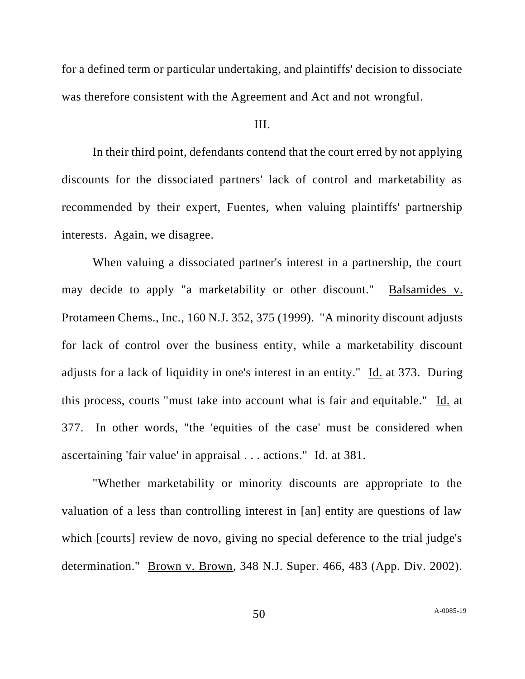for a defined term or particular undertaking, and plaintiffs' decision to dissociate was therefore consistent with the Agreement and Act and not wrongful.

## III.

In their third point, defendants contend that the court erred by not applying discounts for the dissociated partners' lack of control and marketability as recommended by their expert, Fuentes, when valuing plaintiffs' partnership interests. Again, we disagree.

When valuing a dissociated partner's interest in a partnership, the court may decide to apply "a marketability or other discount." Balsamides v. Protameen Chems., Inc., 160 N.J. 352, 375 (1999). "A minority discount adjusts for lack of control over the business entity, while a marketability discount adjusts for a lack of liquidity in one's interest in an entity." Id. at 373. During this process, courts "must take into account what is fair and equitable." Id. at 377. In other words, "the 'equities of the case' must be considered when ascertaining 'fair value' in appraisal . . . actions." Id. at 381.

"Whether marketability or minority discounts are appropriate to the valuation of a less than controlling interest in [an] entity are questions of law which [courts] review de novo, giving no special deference to the trial judge's determination." Brown v. Brown, 348 N.J. Super. 466, 483 (App. Div. 2002).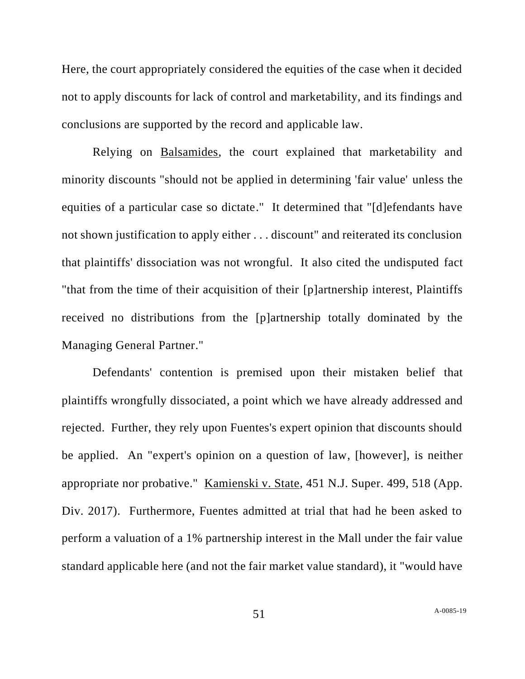Here, the court appropriately considered the equities of the case when it decided not to apply discounts for lack of control and marketability, and its findings and conclusions are supported by the record and applicable law.

Relying on Balsamides, the court explained that marketability and minority discounts "should not be applied in determining 'fair value' unless the equities of a particular case so dictate." It determined that "[d]efendants have not shown justification to apply either . . . discount" and reiterated its conclusion that plaintiffs' dissociation was not wrongful. It also cited the undisputed fact "that from the time of their acquisition of their [p]artnership interest, Plaintiffs received no distributions from the [p]artnership totally dominated by the Managing General Partner."

Defendants' contention is premised upon their mistaken belief that plaintiffs wrongfully dissociated, a point which we have already addressed and rejected. Further, they rely upon Fuentes's expert opinion that discounts should be applied. An "expert's opinion on a question of law, [however], is neither appropriate nor probative." Kamienski v. State, 451 N.J. Super. 499, 518 (App. Div. 2017). Furthermore, Fuentes admitted at trial that had he been asked to perform a valuation of a 1% partnership interest in the Mall under the fair value standard applicable here (and not the fair market value standard), it "would have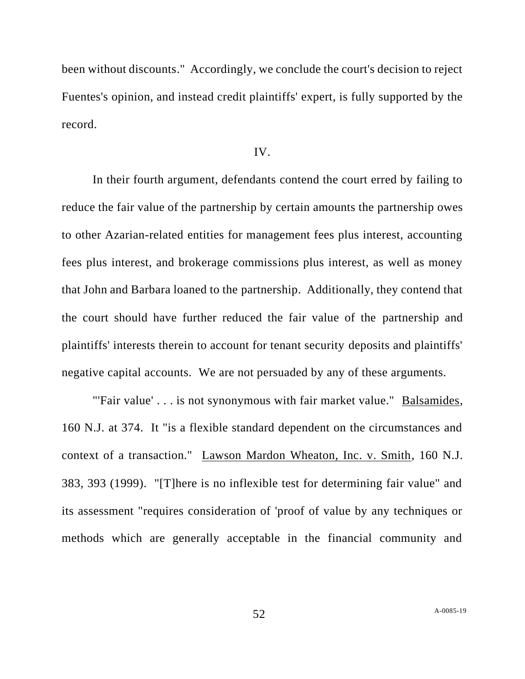been without discounts." Accordingly, we conclude the court's decision to reject Fuentes's opinion, and instead credit plaintiffs' expert, is fully supported by the record.

# IV.

In their fourth argument, defendants contend the court erred by failing to reduce the fair value of the partnership by certain amounts the partnership owes to other Azarian-related entities for management fees plus interest, accounting fees plus interest, and brokerage commissions plus interest, as well as money that John and Barbara loaned to the partnership. Additionally, they contend that the court should have further reduced the fair value of the partnership and plaintiffs' interests therein to account for tenant security deposits and plaintiffs' negative capital accounts. We are not persuaded by any of these arguments.

"'Fair value' . . . is not synonymous with fair market value." Balsamides, 160 N.J. at 374. It "is a flexible standard dependent on the circumstances and context of a transaction." Lawson Mardon Wheaton, Inc. v. Smith, 160 N.J. 383, 393 (1999). "[T]here is no inflexible test for determining fair value" and its assessment "requires consideration of 'proof of value by any techniques or methods which are generally acceptable in the financial community and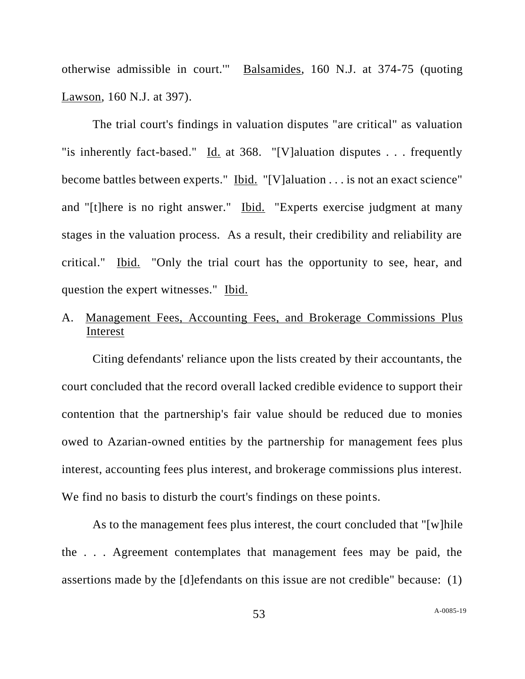otherwise admissible in court.'" Balsamides, 160 N.J. at 374-75 (quoting Lawson, 160 N.J. at 397).

The trial court's findings in valuation disputes "are critical" as valuation "is inherently fact-based." Id. at 368. "[V]aluation disputes . . . frequently become battles between experts." Ibid. "[V]aluation . . . is not an exact science" and "[t]here is no right answer." Ibid. "Experts exercise judgment at many stages in the valuation process. As a result, their credibility and reliability are critical." Ibid. "Only the trial court has the opportunity to see, hear, and question the expert witnesses." Ibid.

# A. Management Fees, Accounting Fees, and Brokerage Commissions Plus Interest

Citing defendants' reliance upon the lists created by their accountants, the court concluded that the record overall lacked credible evidence to support their contention that the partnership's fair value should be reduced due to monies owed to Azarian-owned entities by the partnership for management fees plus interest, accounting fees plus interest, and brokerage commissions plus interest. We find no basis to disturb the court's findings on these points.

As to the management fees plus interest, the court concluded that "[w]hile the . . . Agreement contemplates that management fees may be paid, the assertions made by the [d]efendants on this issue are not credible" because: (1)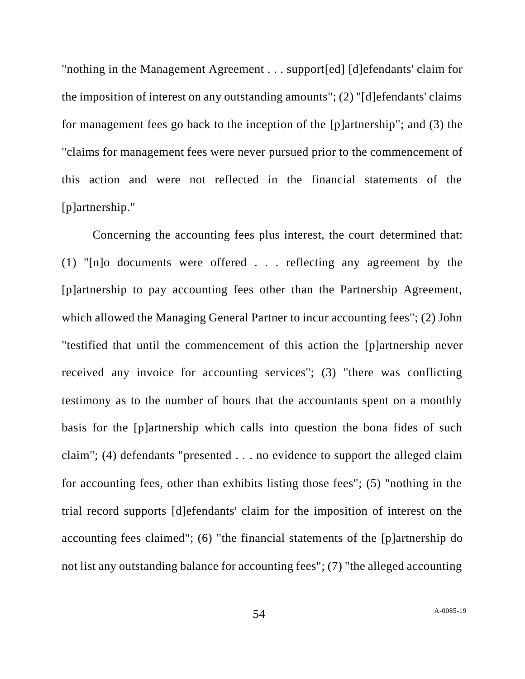"nothing in the Management Agreement . . . support[ed] [d]efendants' claim for the imposition of interest on any outstanding amounts"; (2) "[d]efendants' claims for management fees go back to the inception of the [p]artnership"; and (3) the "claims for management fees were never pursued prior to the commencement of this action and were not reflected in the financial statements of the [p]artnership."

Concerning the accounting fees plus interest, the court determined that: (1) "[n]o documents were offered . . . reflecting any agreement by the [p]artnership to pay accounting fees other than the Partnership Agreement, which allowed the Managing General Partner to incur accounting fees"; (2) John "testified that until the commencement of this action the [p]artnership never received any invoice for accounting services"; (3) "there was conflicting testimony as to the number of hours that the accountants spent on a monthly basis for the [p]artnership which calls into question the bona fides of such claim"; (4) defendants "presented . . . no evidence to support the alleged claim for accounting fees, other than exhibits listing those fees"; (5) "nothing in the trial record supports [d]efendants' claim for the imposition of interest on the accounting fees claimed"; (6) "the financial statements of the [p]artnership do not list any outstanding balance for accounting fees"; (7) "the alleged accounting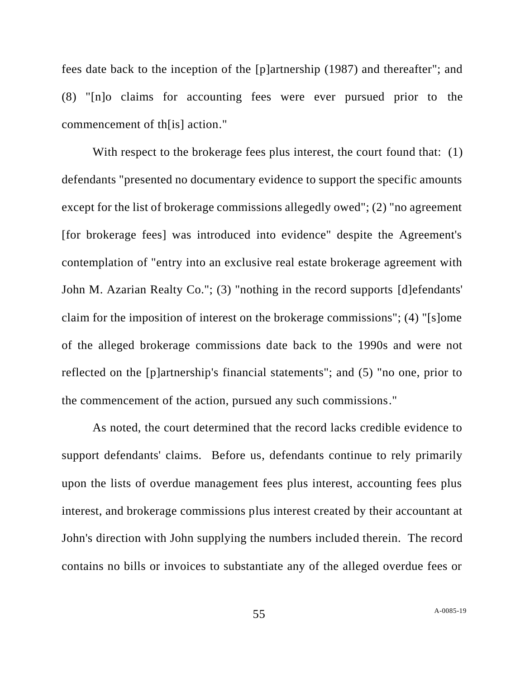fees date back to the inception of the [p]artnership (1987) and thereafter"; and (8) "[n]o claims for accounting fees were ever pursued prior to the commencement of th[is] action."

With respect to the brokerage fees plus interest, the court found that: (1) defendants "presented no documentary evidence to support the specific amounts except for the list of brokerage commissions allegedly owed"; (2) "no agreement [for brokerage fees] was introduced into evidence" despite the Agreement's contemplation of "entry into an exclusive real estate brokerage agreement with John M. Azarian Realty Co."; (3) "nothing in the record supports [d]efendants' claim for the imposition of interest on the brokerage commissions"; (4) "[s]ome of the alleged brokerage commissions date back to the 1990s and were not reflected on the [p]artnership's financial statements"; and (5) "no one, prior to the commencement of the action, pursued any such commissions."

As noted, the court determined that the record lacks credible evidence to support defendants' claims. Before us, defendants continue to rely primarily upon the lists of overdue management fees plus interest, accounting fees plus interest, and brokerage commissions plus interest created by their accountant at John's direction with John supplying the numbers included therein. The record contains no bills or invoices to substantiate any of the alleged overdue fees or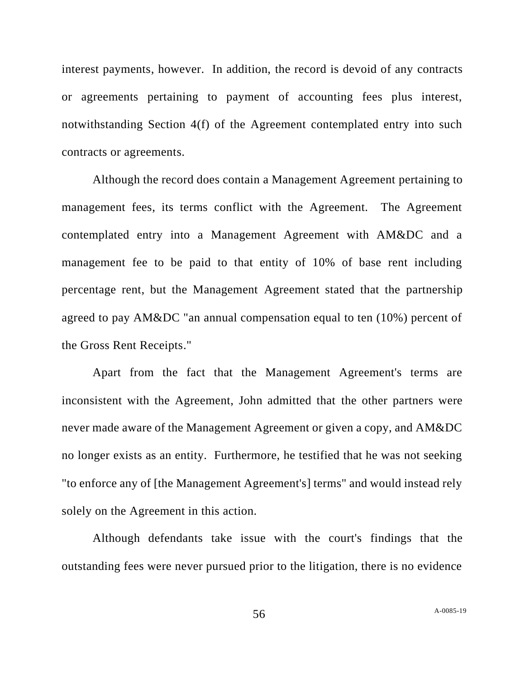interest payments, however. In addition, the record is devoid of any contracts or agreements pertaining to payment of accounting fees plus interest, notwithstanding Section 4(f) of the Agreement contemplated entry into such contracts or agreements.

Although the record does contain a Management Agreement pertaining to management fees, its terms conflict with the Agreement. The Agreement contemplated entry into a Management Agreement with AM&DC and a management fee to be paid to that entity of 10% of base rent including percentage rent, but the Management Agreement stated that the partnership agreed to pay AM&DC "an annual compensation equal to ten (10%) percent of the Gross Rent Receipts."

Apart from the fact that the Management Agreement's terms are inconsistent with the Agreement, John admitted that the other partners were never made aware of the Management Agreement or given a copy, and AM&DC no longer exists as an entity. Furthermore, he testified that he was not seeking "to enforce any of [the Management Agreement's] terms" and would instead rely solely on the Agreement in this action.

Although defendants take issue with the court's findings that the outstanding fees were never pursued prior to the litigation, there is no evidence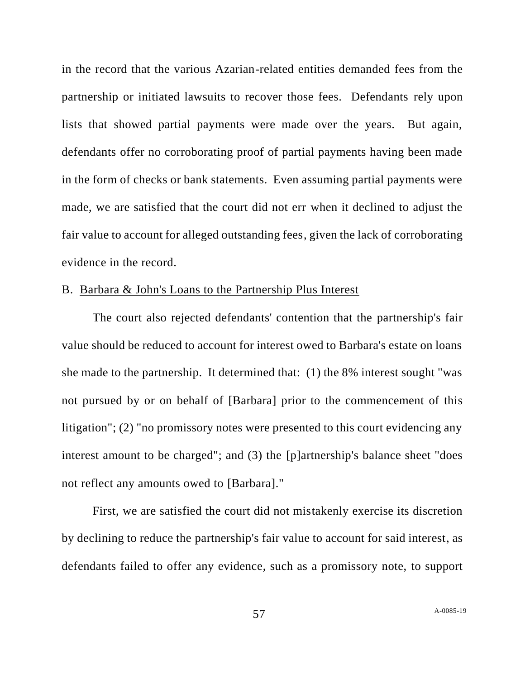in the record that the various Azarian-related entities demanded fees from the partnership or initiated lawsuits to recover those fees. Defendants rely upon lists that showed partial payments were made over the years. But again, defendants offer no corroborating proof of partial payments having been made in the form of checks or bank statements. Even assuming partial payments were made, we are satisfied that the court did not err when it declined to adjust the fair value to account for alleged outstanding fees, given the lack of corroborating evidence in the record.

# B. Barbara & John's Loans to the Partnership Plus Interest

The court also rejected defendants' contention that the partnership's fair value should be reduced to account for interest owed to Barbara's estate on loans she made to the partnership. It determined that: (1) the 8% interest sought "was not pursued by or on behalf of [Barbara] prior to the commencement of this litigation"; (2) "no promissory notes were presented to this court evidencing any interest amount to be charged"; and (3) the [p]artnership's balance sheet "does not reflect any amounts owed to [Barbara]."

First, we are satisfied the court did not mistakenly exercise its discretion by declining to reduce the partnership's fair value to account for said interest, as defendants failed to offer any evidence, such as a promissory note, to support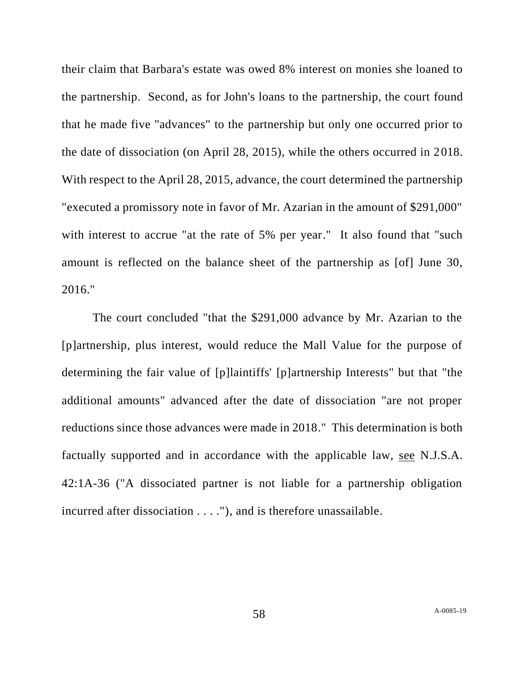their claim that Barbara's estate was owed 8% interest on monies she loaned to the partnership. Second, as for John's loans to the partnership, the court found that he made five "advances" to the partnership but only one occurred prior to the date of dissociation (on April 28, 2015), while the others occurred in 2018. With respect to the April 28, 2015, advance, the court determined the partnership "executed a promissory note in favor of Mr. Azarian in the amount of \$291,000" with interest to accrue "at the rate of 5% per year." It also found that "such amount is reflected on the balance sheet of the partnership as [of] June 30, 2016."

The court concluded "that the \$291,000 advance by Mr. Azarian to the [p]artnership, plus interest, would reduce the Mall Value for the purpose of determining the fair value of [p]laintiffs' [p]artnership Interests" but that "the additional amounts" advanced after the date of dissociation "are not proper reductions since those advances were made in 2018." This determination is both factually supported and in accordance with the applicable law, see N.J.S.A. 42:1A-36 ("A dissociated partner is not liable for a partnership obligation incurred after dissociation . . . ."), and is therefore unassailable.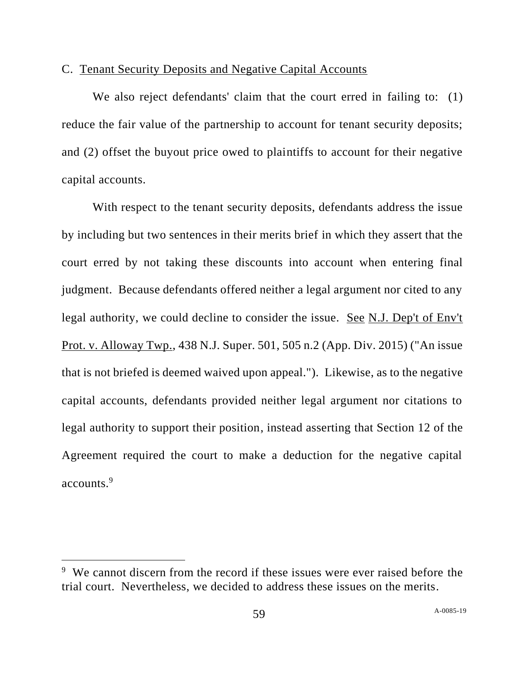# C. Tenant Security Deposits and Negative Capital Accounts

We also reject defendants' claim that the court erred in failing to: (1) reduce the fair value of the partnership to account for tenant security deposits; and (2) offset the buyout price owed to plaintiffs to account for their negative capital accounts.

With respect to the tenant security deposits, defendants address the issue by including but two sentences in their merits brief in which they assert that the court erred by not taking these discounts into account when entering final judgment. Because defendants offered neither a legal argument nor cited to any legal authority, we could decline to consider the issue. See N.J. Dep't of Env't Prot. v. Alloway Twp., 438 N.J. Super. 501, 505 n.2 (App. Div. 2015) ("An issue that is not briefed is deemed waived upon appeal."). Likewise, as to the negative capital accounts, defendants provided neither legal argument nor citations to legal authority to support their position, instead asserting that Section 12 of the Agreement required the court to make a deduction for the negative capital accounts.<sup>9</sup>

<sup>&</sup>lt;sup>9</sup> We cannot discern from the record if these issues were ever raised before the trial court. Nevertheless, we decided to address these issues on the merits.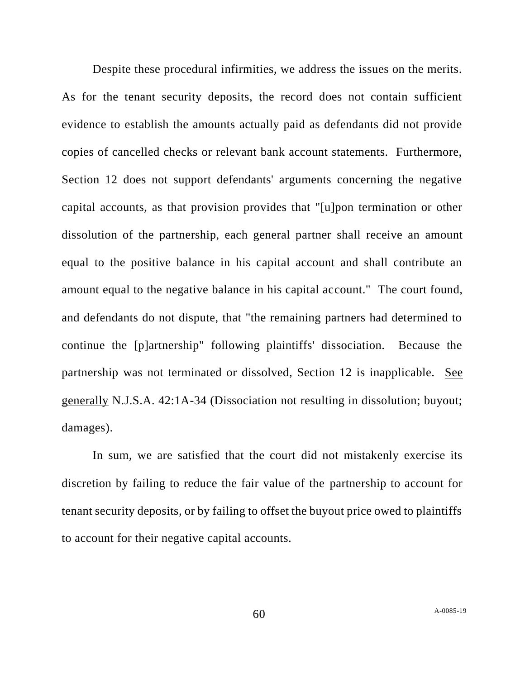Despite these procedural infirmities, we address the issues on the merits. As for the tenant security deposits, the record does not contain sufficient evidence to establish the amounts actually paid as defendants did not provide copies of cancelled checks or relevant bank account statements. Furthermore, Section 12 does not support defendants' arguments concerning the negative capital accounts, as that provision provides that "[u]pon termination or other dissolution of the partnership, each general partner shall receive an amount equal to the positive balance in his capital account and shall contribute an amount equal to the negative balance in his capital account." The court found, and defendants do not dispute, that "the remaining partners had determined to continue the [p]artnership" following plaintiffs' dissociation. Because the partnership was not terminated or dissolved, Section 12 is inapplicable. See generally N.J.S.A. 42:1A-34 (Dissociation not resulting in dissolution; buyout; damages).

In sum, we are satisfied that the court did not mistakenly exercise its discretion by failing to reduce the fair value of the partnership to account for tenant security deposits, or by failing to offset the buyout price owed to plaintiffs to account for their negative capital accounts.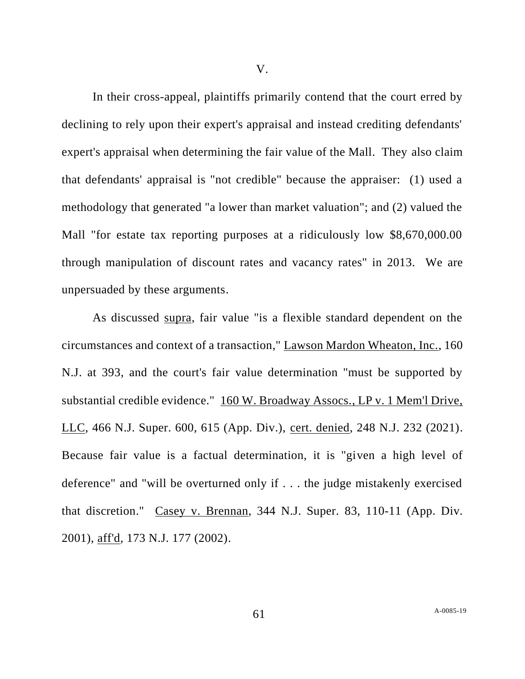In their cross-appeal, plaintiffs primarily contend that the court erred by declining to rely upon their expert's appraisal and instead crediting defendants' expert's appraisal when determining the fair value of the Mall. They also claim that defendants' appraisal is "not credible" because the appraiser: (1) used a methodology that generated "a lower than market valuation"; and (2) valued the Mall "for estate tax reporting purposes at a ridiculously low \$8,670,000.00 through manipulation of discount rates and vacancy rates" in 2013. We are unpersuaded by these arguments.

As discussed supra, fair value "is a flexible standard dependent on the circumstances and context of a transaction," Lawson Mardon Wheaton, Inc., 160 N.J. at 393, and the court's fair value determination "must be supported by substantial credible evidence." 160 W. Broadway Assocs., LP v. 1 Mem'l Drive, LLC, 466 N.J. Super. 600, 615 (App. Div.), cert. denied, 248 N.J. 232 (2021). Because fair value is a factual determination, it is "given a high level of deference" and "will be overturned only if . . . the judge mistakenly exercised that discretion." Casey v. Brennan, 344 N.J. Super. 83, 110-11 (App. Div. 2001), aff'd, 173 N.J. 177 (2002).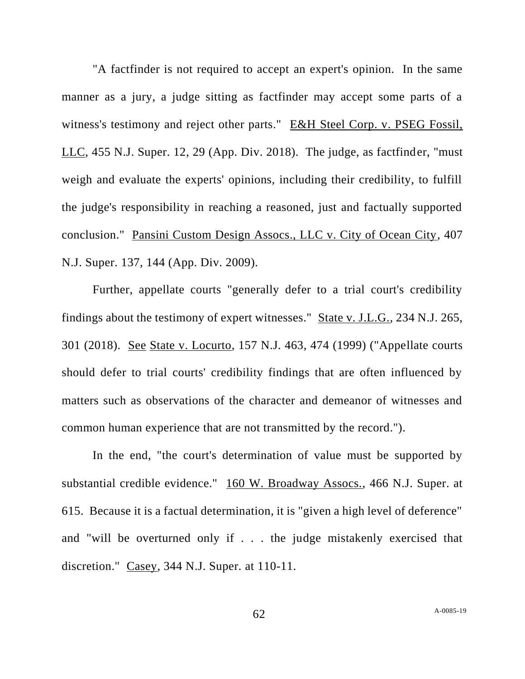"A factfinder is not required to accept an expert's opinion. In the same manner as a jury, a judge sitting as factfinder may accept some parts of a witness's testimony and reject other parts." E&H Steel Corp. v. PSEG Fossil, LLC, 455 N.J. Super. 12, 29 (App. Div. 2018). The judge, as factfinder, "must weigh and evaluate the experts' opinions, including their credibility, to fulfill the judge's responsibility in reaching a reasoned, just and factually supported conclusion." Pansini Custom Design Assocs., LLC v. City of Ocean City, 407 N.J. Super. 137, 144 (App. Div. 2009).

Further, appellate courts "generally defer to a trial court's credibility findings about the testimony of expert witnesses." State v. J.L.G., 234 N.J. 265, 301 (2018). See State v. Locurto, 157 N.J. 463, 474 (1999) ("Appellate courts should defer to trial courts' credibility findings that are often influenced by matters such as observations of the character and demeanor of witnesses and common human experience that are not transmitted by the record.").

In the end, "the court's determination of value must be supported by substantial credible evidence." 160 W. Broadway Assocs., 466 N.J. Super. at 615. Because it is a factual determination, it is "given a high level of deference" and "will be overturned only if . . . the judge mistakenly exercised that discretion." Casey, 344 N.J. Super. at 110-11.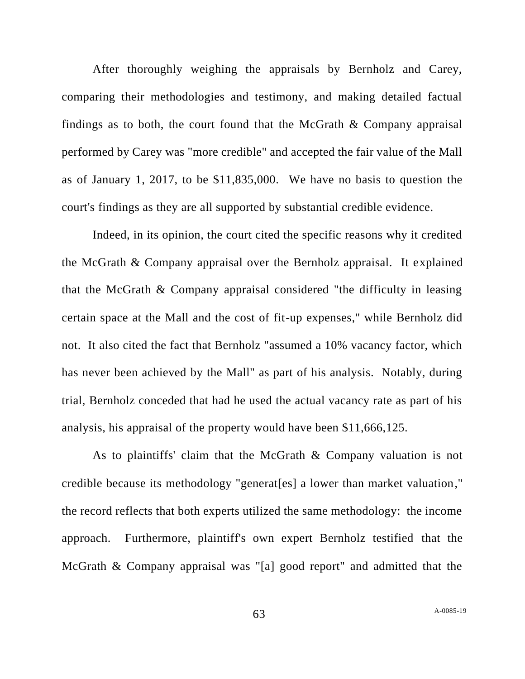After thoroughly weighing the appraisals by Bernholz and Carey, comparing their methodologies and testimony, and making detailed factual findings as to both, the court found that the McGrath & Company appraisal performed by Carey was "more credible" and accepted the fair value of the Mall as of January 1, 2017, to be \$11,835,000. We have no basis to question the court's findings as they are all supported by substantial credible evidence.

Indeed, in its opinion, the court cited the specific reasons why it credited the McGrath & Company appraisal over the Bernholz appraisal. It explained that the McGrath & Company appraisal considered "the difficulty in leasing certain space at the Mall and the cost of fit-up expenses," while Bernholz did not. It also cited the fact that Bernholz "assumed a 10% vacancy factor, which has never been achieved by the Mall" as part of his analysis. Notably, during trial, Bernholz conceded that had he used the actual vacancy rate as part of his analysis, his appraisal of the property would have been \$11,666,125.

As to plaintiffs' claim that the McGrath & Company valuation is not credible because its methodology "generat[es] a lower than market valuation," the record reflects that both experts utilized the same methodology: the income approach. Furthermore, plaintiff's own expert Bernholz testified that the McGrath & Company appraisal was "[a] good report" and admitted that the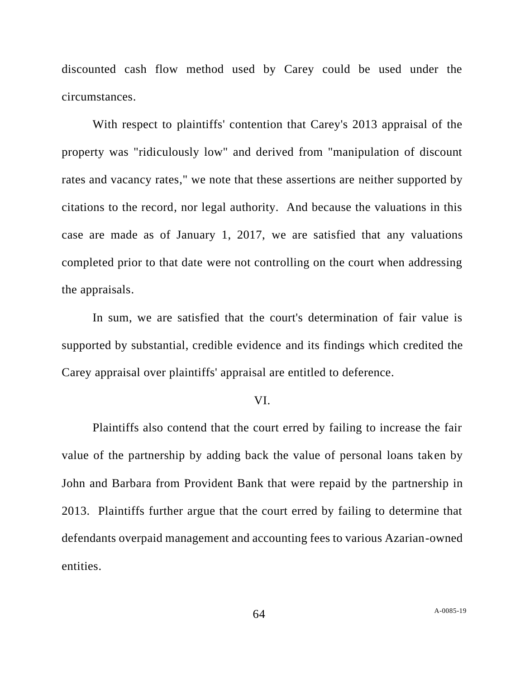discounted cash flow method used by Carey could be used under the circumstances.

With respect to plaintiffs' contention that Carey's 2013 appraisal of the property was "ridiculously low" and derived from "manipulation of discount rates and vacancy rates," we note that these assertions are neither supported by citations to the record, nor legal authority. And because the valuations in this case are made as of January 1, 2017, we are satisfied that any valuations completed prior to that date were not controlling on the court when addressing the appraisals.

In sum, we are satisfied that the court's determination of fair value is supported by substantial, credible evidence and its findings which credited the Carey appraisal over plaintiffs' appraisal are entitled to deference.

#### VI.

Plaintiffs also contend that the court erred by failing to increase the fair value of the partnership by adding back the value of personal loans taken by John and Barbara from Provident Bank that were repaid by the partnership in 2013. Plaintiffs further argue that the court erred by failing to determine that defendants overpaid management and accounting fees to various Azarian-owned entities.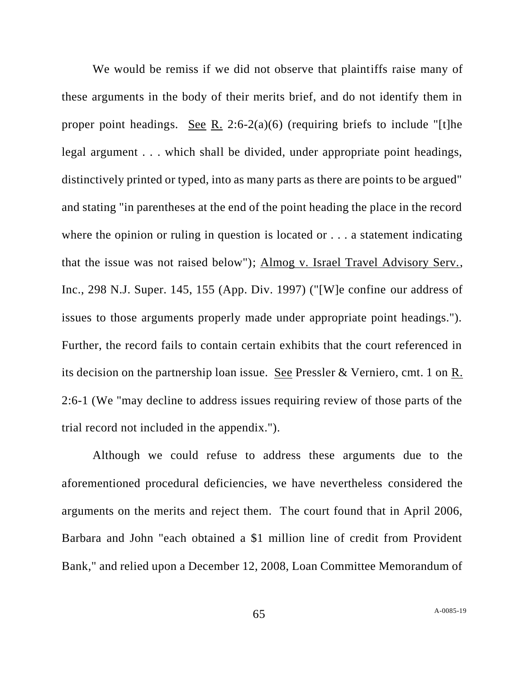We would be remiss if we did not observe that plaintiffs raise many of these arguments in the body of their merits brief, and do not identify them in proper point headings. See R. 2:6-2(a)(6) (requiring briefs to include "[t]he legal argument . . . which shall be divided, under appropriate point headings, distinctively printed or typed, into as many parts as there are points to be argued" and stating "in parentheses at the end of the point heading the place in the record where the opinion or ruling in question is located or . . . a statement indicating that the issue was not raised below"); Almog v. Israel Travel Advisory Serv., Inc., 298 N.J. Super. 145, 155 (App. Div. 1997) ("[W]e confine our address of issues to those arguments properly made under appropriate point headings."). Further, the record fails to contain certain exhibits that the court referenced in its decision on the partnership loan issue. See Pressler & Verniero, cmt. 1 on R. 2:6-1 (We "may decline to address issues requiring review of those parts of the trial record not included in the appendix.").

Although we could refuse to address these arguments due to the aforementioned procedural deficiencies, we have nevertheless considered the arguments on the merits and reject them. The court found that in April 2006, Barbara and John "each obtained a \$1 million line of credit from Provident Bank," and relied upon a December 12, 2008, Loan Committee Memorandum of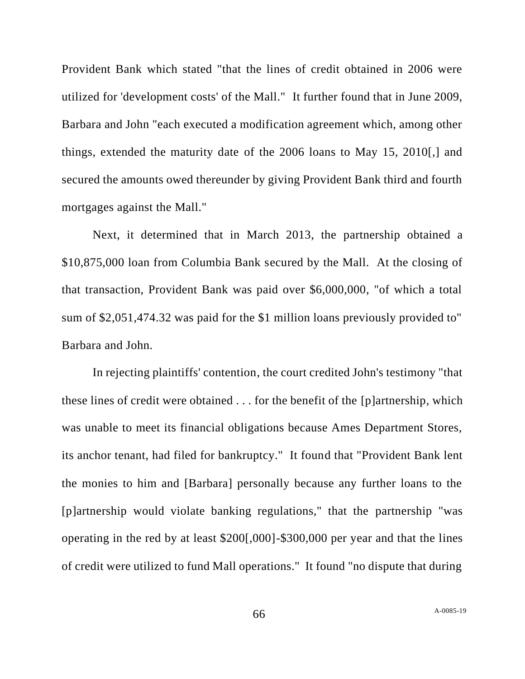Provident Bank which stated "that the lines of credit obtained in 2006 were utilized for 'development costs' of the Mall." It further found that in June 2009, Barbara and John "each executed a modification agreement which, among other things, extended the maturity date of the 2006 loans to May 15, 2010[,] and secured the amounts owed thereunder by giving Provident Bank third and fourth mortgages against the Mall."

Next, it determined that in March 2013, the partnership obtained a \$10,875,000 loan from Columbia Bank secured by the Mall. At the closing of that transaction, Provident Bank was paid over \$6,000,000, "of which a total sum of \$2,051,474.32 was paid for the \$1 million loans previously provided to" Barbara and John.

In rejecting plaintiffs' contention, the court credited John's testimony "that these lines of credit were obtained . . . for the benefit of the [p]artnership, which was unable to meet its financial obligations because Ames Department Stores, its anchor tenant, had filed for bankruptcy." It found that "Provident Bank lent the monies to him and [Barbara] personally because any further loans to the [p]artnership would violate banking regulations," that the partnership "was operating in the red by at least \$200[,000]-\$300,000 per year and that the lines of credit were utilized to fund Mall operations." It found "no dispute that during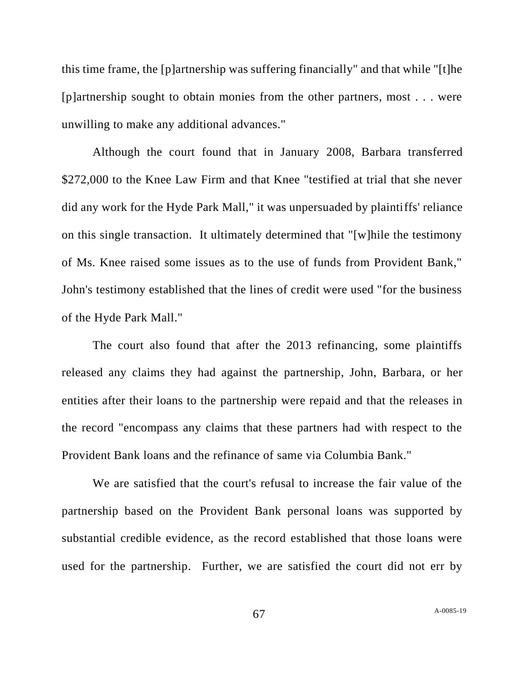this time frame, the [p]artnership was suffering financially" and that while "[t]he [p]artnership sought to obtain monies from the other partners, most . . . were unwilling to make any additional advances."

Although the court found that in January 2008, Barbara transferred \$272,000 to the Knee Law Firm and that Knee "testified at trial that she never did any work for the Hyde Park Mall," it was unpersuaded by plaintiffs' reliance on this single transaction. It ultimately determined that "[w]hile the testimony of Ms. Knee raised some issues as to the use of funds from Provident Bank," John's testimony established that the lines of credit were used "for the business of the Hyde Park Mall."

The court also found that after the 2013 refinancing, some plaintiffs released any claims they had against the partnership, John, Barbara, or her entities after their loans to the partnership were repaid and that the releases in the record "encompass any claims that these partners had with respect to the Provident Bank loans and the refinance of same via Columbia Bank."

We are satisfied that the court's refusal to increase the fair value of the partnership based on the Provident Bank personal loans was supported by substantial credible evidence, as the record established that those loans were used for the partnership. Further, we are satisfied the court did not err by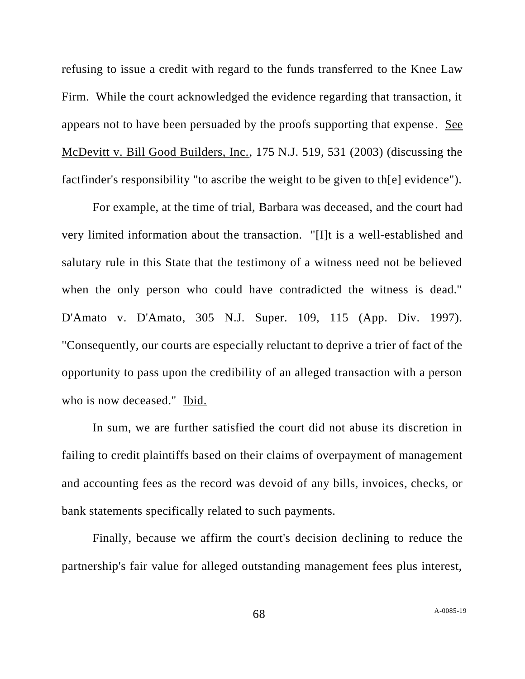refusing to issue a credit with regard to the funds transferred to the Knee Law Firm. While the court acknowledged the evidence regarding that transaction, it appears not to have been persuaded by the proofs supporting that expense. See McDevitt v. Bill Good Builders, Inc., 175 N.J. 519, 531 (2003) (discussing the factfinder's responsibility "to ascribe the weight to be given to th[e] evidence").

For example, at the time of trial, Barbara was deceased, and the court had very limited information about the transaction. "[I]t is a well-established and salutary rule in this State that the testimony of a witness need not be believed when the only person who could have contradicted the witness is dead." D'Amato v. D'Amato, 305 N.J. Super. 109, 115 (App. Div. 1997). "Consequently, our courts are especially reluctant to deprive a trier of fact of the opportunity to pass upon the credibility of an alleged transaction with a person who is now deceased." Ibid.

In sum, we are further satisfied the court did not abuse its discretion in failing to credit plaintiffs based on their claims of overpayment of management and accounting fees as the record was devoid of any bills, invoices, checks, or bank statements specifically related to such payments.

Finally, because we affirm the court's decision declining to reduce the partnership's fair value for alleged outstanding management fees plus interest,